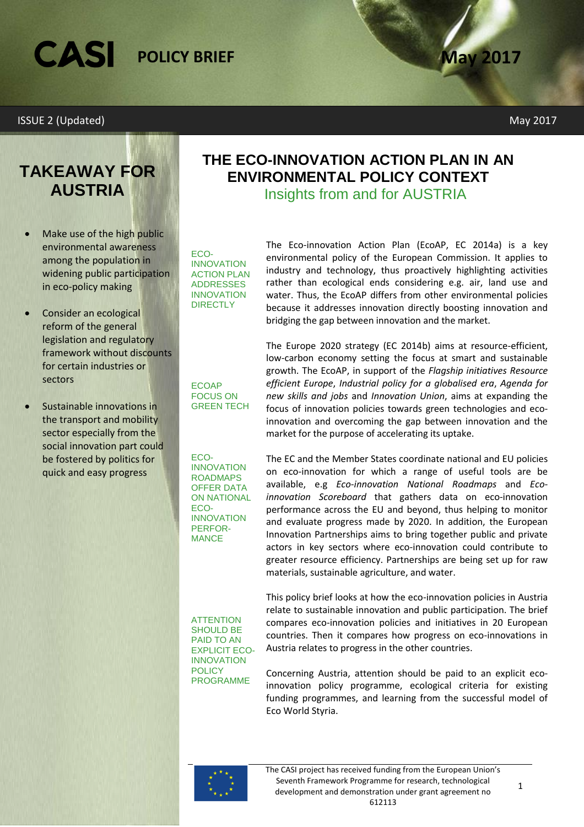## CASI **POLICY BRIEF**

#### ISSUE 2 (Updated) May 2017

## **TAKEAWAY FOR AUSTRIA**

- Make use of the high public environmental awareness among the population in widening public participation in eco-policy making
- Consider an ecological reform of the general legislation and regulatory framework without discounts for certain industries or sectors
- Sustainable innovations in the transport and mobility sector especially from the social innovation part could be fostered by politics for quick and easy progress

**THE ECO-INNOVATION ACTION PLAN IN AN ENVIRONMENTAL POLICY CONTEXT**

Insights from and for AUSTRIA

ECO-INNOVATION ACTION PLAN ADDRESSES INNOVATION **DIRECTLY** 

The Eco-innovation Action Plan (EcoAP, EC 2014a) is a key environmental policy of the European Commission. It applies to industry and technology, thus proactively highlighting activities rather than ecological ends considering e.g. air, land use and water. Thus, the EcoAP differs from other environmental policies because it addresses innovation directly boosting innovation and bridging the gap between innovation and the market.

ECOAP FOCUS ON GREEN TECH The Europe 2020 strategy (EC 2014b) aims at resource-efficient, low-carbon economy setting the focus at smart and sustainable growth. The EcoAP, in support of the *Flagship initiatives Resource efficient Europe*, *Industrial policy for a globalised era*, *Agenda for new skills and jobs* and *Innovation Union*, aims at expanding the focus of innovation policies towards green technologies and ecoinnovation and overcoming the gap between innovation and the market for the purpose of accelerating its uptake.

ECO-INNOVATION ROADMAPS OFFER DATA ON NATIONAL ECO-INNOVATION PERFOR-MANCE

The EC and the Member States coordinate national and EU policies on eco-innovation for which a range of useful tools are be available, e.g *Eco-innovation National Roadmaps* and *Ecoinnovation Scoreboard* that gathers data on eco-innovation performance across the EU and beyond, thus helping to monitor and evaluate progress made by 2020. In addition, the European Innovation Partnerships aims to bring together public and private actors in key sectors where eco-innovation could contribute to greater resource efficiency. Partnerships are being set up for raw materials, sustainable agriculture, and water.

**ATTENTION** SHOULD BE PAID TO AN EXPLICIT ECO-INNOVATION **POLICY** PROGRAMME

This policy brief looks at how the eco-innovation policies in Austria relate to sustainable innovation and public participation. The brief compares eco-innovation policies and initiatives in 20 European countries. Then it compares how progress on eco-innovations in Austria relates to progress in the other countries.

Concerning Austria, attention should be paid to an explicit ecoinnovation policy programme, ecological criteria for existing funding programmes, and learning from the successful model of Eco World Styria.

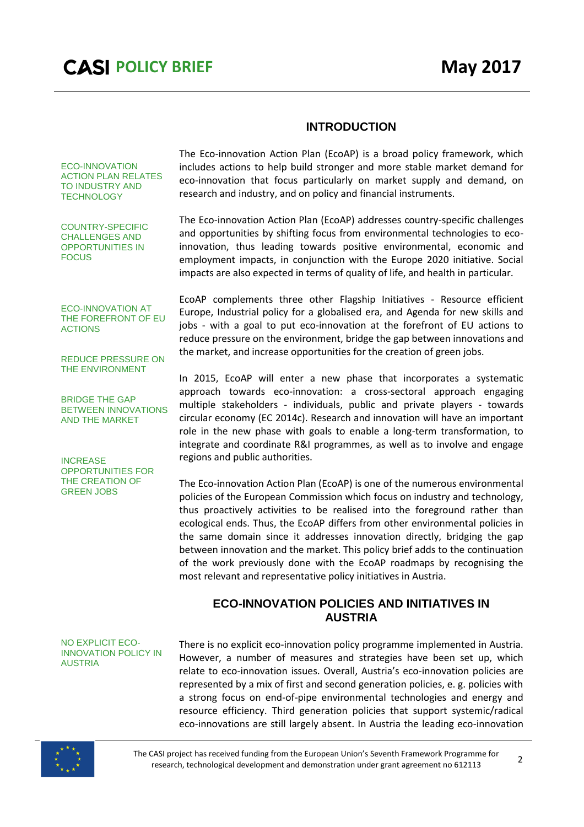#### **INTRODUCTION**

ECO-INNOVATION ACTION PLAN RELATES TO INDUSTRY AND **TECHNOLOGY** 

COUNTRY-SPECIFIC CHALLENGES AND OPPORTUNITIES IN FOCUS

The Eco-innovation Action Plan (EcoAP) is a broad policy framework, which includes actions to help build stronger and more stable market demand for eco-innovation that focus particularly on market supply and demand, on research and industry, and on policy and financial instruments.

The Eco-innovation Action Plan (EcoAP) addresses country-specific challenges and opportunities by shifting focus from environmental technologies to ecoinnovation, thus leading towards positive environmental, economic and employment impacts, in conjunction with the Europe 2020 initiative. Social impacts are also expected in terms of quality of life, and health in particular.

ECO-INNOVATION AT THE FOREFRONT OF EU ACTIONS

REDUCE PRESSURE ON THE ENVIRONMENT

BRIDGE THE GAP BETWEEN INNOVATIONS AND THE MARKET

**INCREASE** OPPORTUNITIES FOR THE CREATION OF GREEN JOBS

EcoAP complements three other Flagship Initiatives - Resource efficient Europe, Industrial policy for a globalised era, and Agenda for new skills and jobs - with a goal to put eco-innovation at the forefront of EU actions to reduce pressure on the environment, bridge the gap between innovations and the market, and increase opportunities for the creation of green jobs.

In 2015, EcoAP will enter a new phase that incorporates a systematic approach towards eco-innovation: a cross-sectoral approach engaging multiple stakeholders - individuals, public and private players - towards circular economy (EC 2014c). Research and innovation will have an important role in the new phase with goals to enable a long-term transformation, to integrate and coordinate R&I programmes, as well as to involve and engage regions and public authorities.

The Eco-innovation Action Plan (EcoAP) is one of the numerous environmental policies of the European Commission which focus on industry and technology, thus proactively activities to be realised into the foreground rather than ecological ends. Thus, the EcoAP differs from other environmental policies in the same domain since it addresses innovation directly, bridging the gap between innovation and the market. This policy brief adds to the continuation of the work previously done with the EcoAP roadmaps by recognising the most relevant and representative policy initiatives in Austria.

#### **ECO-INNOVATION POLICIES AND INITIATIVES IN AUSTRIA**

#### NO EXPLICIT ECO-INNOVATION POLICY IN AUSTRIA

There is no explicit eco-innovation policy programme implemented in Austria. However, a number of measures and strategies have been set up, which relate to eco-innovation issues. Overall, Austria's eco-innovation policies are represented by a mix of first and second generation policies, e. g. policies with a strong focus on end-of-pipe environmental technologies and energy and resource efficiency. Third generation policies that support systemic/radical eco-innovations are still largely absent. In Austria the leading eco-innovation



The CASI project has received funding from the European Union's Seventh Framework Programme for research, technological development and demonstration under grant agreement no 612113 <sup>2</sup>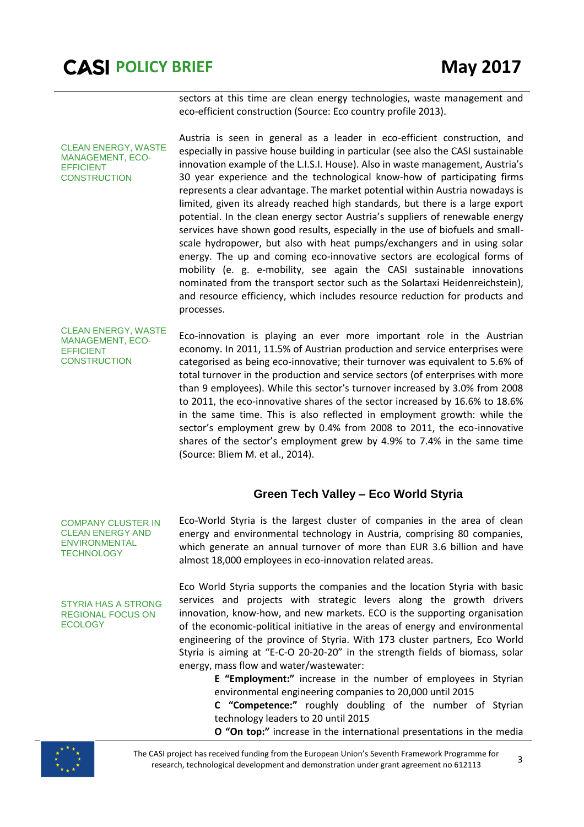CLEAN ENERGY, WASTE MANAGEMENT, ECO-

EFFICIENT **CONSTRUCTION**  sectors at this time are clean energy technologies, waste management and eco-efficient construction (Source: Eco country profile 2013).

Austria is seen in general as a leader in eco-efficient construction, and especially in passive house building in particular (see also the CASI sustainable innovation example of the L.I.S.I. House). Also in waste management, Austria's 30 year experience and the technological know-how of participating firms represents a clear advantage. The market potential within Austria nowadays is limited, given its already reached high standards, but there is a large export potential. In the clean energy sector Austria's suppliers of renewable energy services have shown good results, especially in the use of biofuels and smallscale hydropower, but also with heat pumps/exchangers and in using solar energy. The up and coming eco-innovative sectors are ecological forms of mobility (e. g. e-mobility, see again the CASI sustainable innovations nominated from the transport sector such as the Solartaxi Heidenreichstein), and resource efficiency, which includes resource reduction for products and processes.

CLEAN ENERGY, WASTE MANAGEMENT, ECO-EFFICIENT **CONSTRUCTION** 

Eco-innovation is playing an ever more important role in the Austrian economy. In 2011, 11.5% of Austrian production and service enterprises were categorised as being eco-innovative; their turnover was equivalent to 5.6% of total turnover in the production and service sectors (of enterprises with more than 9 employees). While this sector's turnover increased by 3.0% from 2008 to 2011, the eco-innovative shares of the sector increased by 16.6% to 18.6% in the same time. This is also reflected in employment growth: while the sector's employment grew by 0.4% from 2008 to 2011, the eco-innovative shares of the sector's employment grew by 4.9% to 7.4% in the same time (Source: Bliem M. et al., 2014).

#### **Green Tech Valley – Eco World Styria**

COMPANY CLUSTER IN CLEAN ENERGY AND ENVIRONMENTAL **TECHNOLOGY** 

STYRIA HAS A STRONG REGIONAL FOCUS ON **ECOLOGY** 

Eco-World Styria is the largest cluster of companies in the area of clean energy and environmental technology in Austria, comprising 80 companies, which generate an annual turnover of more than EUR 3.6 billion and have almost 18,000 employees in eco-innovation related areas.

Eco World Styria supports the companies and the location Styria with basic services and projects with strategic levers along the growth drivers innovation, know-how, and new markets. ECO is the supporting organisation of the economic-political initiative in the areas of energy and environmental engineering of the province of Styria. With 173 cluster partners, Eco World Styria is aiming at "E-C-O 20-20-20" in the strength fields of biomass, solar energy, mass flow and water/wastewater:

> **E "Employment:"** increase in the number of employees in Styrian environmental engineering companies to 20,000 until 2015

> **C "Competence:"** roughly doubling of the number of Styrian technology leaders to 20 until 2015

> **O "On top:"** increase in the international presentations in the media



The CASI project has received funding from the European Union's Seventh Framework Programme for research, technological development and demonstration under grant agreement no 612113 <sup>3</sup>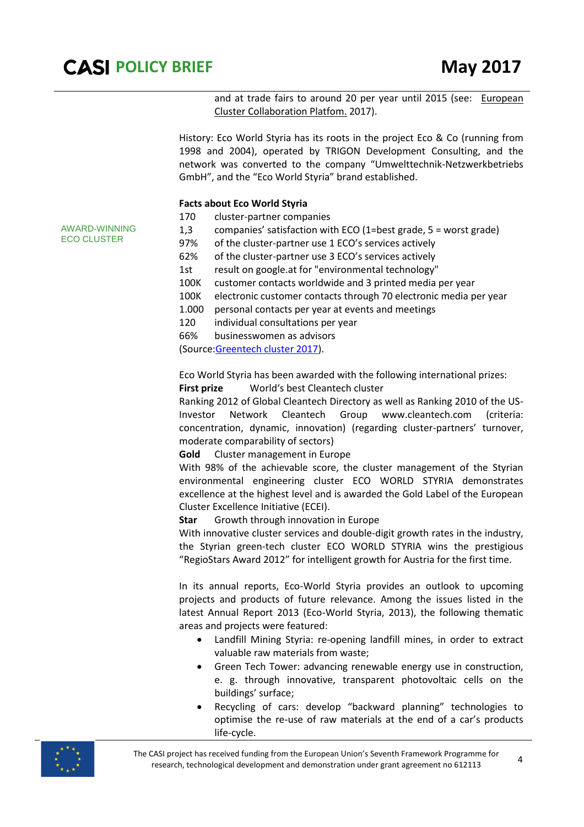AWARD-WINNING ECO CLUSTER

and at trade fairs to around 20 per year until 2015 (see: European [Cluster Collaboration Platfom.](http://www.clustercollaboration.eu/) 2017).

History: Eco World Styria has its roots in the project Eco & Co (running from 1998 and 2004), operated by TRIGON Development Consulting, and the network was converted to the company "Umwelttechnik-Netzwerkbetriebs GmbH", and the "Eco World Styria" brand established.

#### **Facts about Eco World Styria**

- 170 cluster-partner companies
- 1,3 companies' satisfaction with ECO (1=best grade, 5 = worst grade)
- 97% of the cluster-partner use 1 ECO's services [a](http://www.eco.at/cms/219/)ctively
- 62% of the cluster-partner use 3 ECO's services actively
- 1st result on google.at for "environmental technology"
- 100K customer contacts worldwide and 3 printed media per year
- 100K electronic customer contacts through 70 electronic media per year
- 1.000 personal contacts per year at events and meetings
- 120 individual consultations per year
- 66% businesswomen as advisors

(Source[:Greentech cluster 2017\)](https://www.greentech.at/).

Eco World Styria has been awarded with the following international prizes:

**First prize** World's best Cleantech cluster

Ranking 2012 of Global Cleantech Directory as well as Ranking 2010 of the US-Investor Network Cleantech Group www.cleantech.com (criteria: concentration, dynamic, innovation) (regarding cluster-partners' turnover, moderate comparability of sectors)

**Gold** Cluster management in Europe

With 98% of the achievable score, the cluster management of the Styrian environmental engineering cluster ECO WORLD STYRIA demonstrates excellence at the highest level and is awarded the Gold Label of the European Cluster Excellence Initiative (ECEI).

**Star** Growth through innovation in Europe

With innovative cluster services and double-digit growth rates in the industry, the Styrian green-tech cluster ECO WORLD STYRIA wins the prestigious "RegioStars Award 2012" for intelligent growth for Austria for the first time.

In its annual reports, Eco-World Styria provides an outlook to upcoming projects and products of future relevance. Among the issues listed in the latest Annual Report 2013 (Eco-World Styria, 2013), the following thematic areas and projects were featured:

- Landfill Mining Styria: re-opening landfill mines, in order to extract valuable raw materials from waste;
- Green Tech Tower: advancing renewable energy use in construction, e. g. through innovative, transparent photovoltaic cells on the buildings' surface;
- Recycling of cars: develop "backward planning" technologies to optimise the re-use of raw materials at the end of a car's products life-cycle.



The CASI project has received funding from the European Union's Seventh Framework Programme for research, technological development and demonstration under grant agreement no 612113 <sup>4</sup>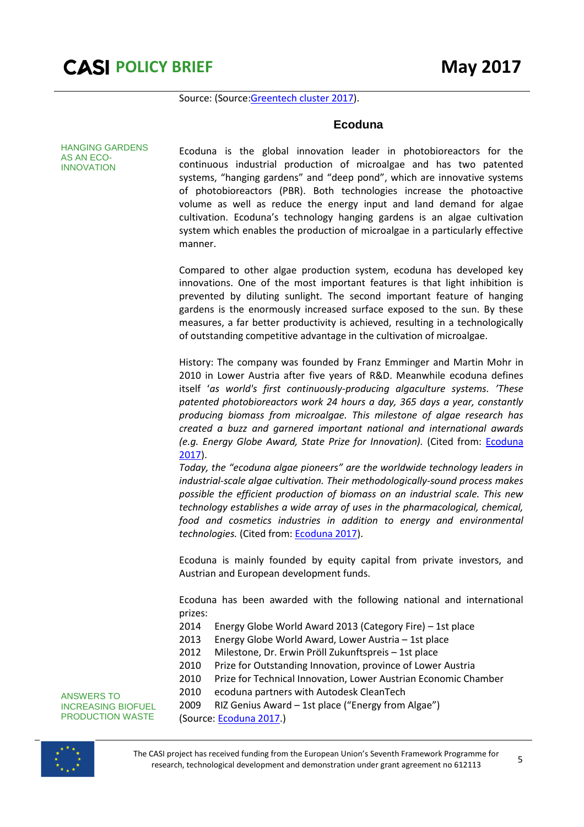

Source: (Source[:Greentech cluster 2017\)](https://www.greentech.at/).

#### **Ecoduna**

HANGING GARDENS AS AN ECO-INNOVATION

Ecoduna is the global innovation leader in photobioreactors for the continuous industrial production of microalgae and has two patented systems, "hanging gardens" and "deep pond", which are innovative systems of photobioreactors (PBR). Both technologies increase the photoactive volume as well as reduce the energy input and land demand for algae cultivation. Ecoduna's technology hanging gardens is an algae cultivation system which enables the production of microalgae in a particularly effective manner.

Compared to other algae production system, ecoduna has developed key innovations. One of the most important features is that light inhibition is prevented by diluting sunlight. The second important feature of hanging gardens is the enormously increased surface exposed to the sun. By these measures, a far better productivity is achieved, resulting in a technologically of outstanding competitive advantage in the cultivation of microalgae.

History: The company was founded by Franz Emminger and Martin Mohr in 2010 in Lower Austria after five years of R&D. Meanwhile ecoduna defines itself '*as world's first continuously-producing algaculture systems. 'These patented photobioreactors work 24 hours a day, 365 days a year, constantly producing biomass from microalgae. This milestone of algae research has created a buzz and garnered important national and international awards (e.g. Energy Globe Award, State Prize for Innovation).* (Cited from: [Ecoduna](https://www.ecoduna.com/entwicklung.html?lang=en)  [2017\)](https://www.ecoduna.com/entwicklung.html?lang=en).

*Today, the "ecoduna algae pioneers" are the worldwide technology leaders in industrial-scale algae cultivation. Their methodologically-sound process makes possible the efficient production of biomass on an industrial scale. This new technology establishes a wide array of uses in the pharmacological, chemical, food and cosmetics industries in addition to energy and environmental technologies.* (Cited from[: Ecoduna 2017\)](https://www.ecoduna.com/entwicklung.html?lang=en).

Ecoduna is mainly founded by equity capital from private investors, and Austrian and European development funds.

Ecoduna has been awarded with the following national and international prizes:

- 2014 Energy Globe World Award 2013 (Category Fire) 1st place
- 2013 Energy Globe World Award, Lower Austria 1st place
- 2012 Milestone, Dr. Erwin Pröll Zukunftspreis 1st place
- 2010 Prize for Outstanding Innovation, province of Lower Austria
- 2010 Prize for Technical Innovation, Lower Austrian Economic Chamber
- 2010 ecoduna partners with Autodesk CleanTech

ANSWERS TO INCREASING BIOFUEL PRODUCTION WASTE

- 2009 RIZ Genius Award 1st place ("Energy from Algae")
- (Source: [Ecoduna 2017.](https://www.ecoduna.com/entwicklung.html?lang=en))

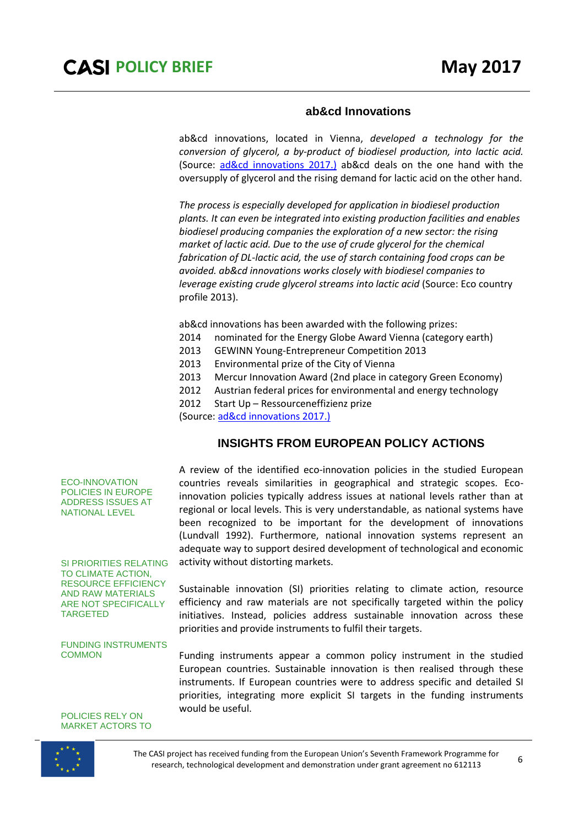#### **ab&cd Innovations**

ab&cd innovations, located in Vienna, *developed a technology for the conversion of glycerol, a by-product of biodiesel production, into lactic acid.* (Source: [ad&cd innovations 2017.\)](http://www.abandcd.com/Innovations.913.0.html?&no_cache=1&L=1) ab&cd deals on the one hand with the oversupply of glycerol and the rising demand for lactic acid on the other hand.

*The process is especially developed for application in biodiesel production plants. It can even be integrated into existing production facilities and enables biodiesel producing companies the exploration of a new sector: the rising market of lactic acid. Due to the use of crude glycerol for the chemical fabrication of DL-lactic acid, the use of starch containing food crops can be avoided. ab&cd innovations works closely with biodiesel companies to leverage existing crude glycerol streams into lactic acid* (Source: Eco country profile 2013).

ab&cd innovations has been awarded with the following prizes:

- 2014 nominated for the Energy Globe Award Vienna (category earth)
- 2013 GEWINN Young-Entrepreneur Competition 2013
- 2013 Environmental prize of the City of Vienna
- 2013 Mercur Innovation Award (2nd place in category Green Economy)
- 2012 Austrian federal prices for environmental and energy technology
- 2012 Start Up Ressourceneffizienz prize

(Source: [ad&cd innovations 2017.\)](http://www.abandcd.com/Innovations.913.0.html?&no_cache=1&L=1)

#### **INSIGHTS FROM EUROPEAN POLICY ACTIONS**

A review of the identified eco-innovation policies in the studied European countries reveals similarities in geographical and strategic scopes. Ecoinnovation policies typically address issues at national levels rather than at regional or local levels. This is very understandable, as national systems have been recognized to be important for the development of innovations (Lundvall 1992). Furthermore, national innovation systems represent an adequate way to support desired development of technological and economic activity without distorting markets.

Sustainable innovation (SI) priorities relating to climate action, resource efficiency and raw materials are not specifically targeted within the policy initiatives. Instead, policies address sustainable innovation across these priorities and provide instruments to fulfil their targets.

Funding instruments appear a common policy instrument in the studied European countries. Sustainable innovation is then realised through these instruments. If European countries were to address specific and detailed SI priorities, integrating more explicit SI targets in the funding instruments would be useful.

ECO-INNOVATION POLICIES IN EUROPE ADDRESS ISSUES AT NATIONAL LEVEL

SI PRIORITIES RELATING TO CLIMATE ACTION, RESOURCE EFFICIENCY AND RAW MATERIALS ARE NOT SPECIFICALLY TARGETED

FUNDING INSTRUMENTS **COMMON** 

POLICIES RELY ON MARKET ACTORS TO

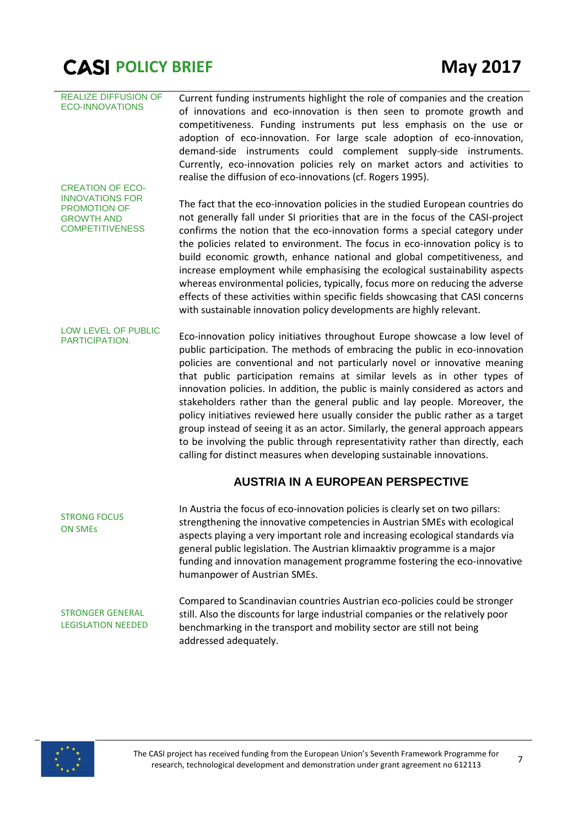| <b>REALIZE DIFFUSION OF</b><br><b>ECO-INNOVATIONS</b><br><b>CREATION OF ECO-</b>             | Current funding instruments highlight the role of companies and the creation<br>of innovations and eco-innovation is then seen to promote growth and<br>competitiveness. Funding instruments put less emphasis on the use or<br>adoption of eco-innovation. For large scale adoption of eco-innovation,<br>demand-side instruments could complement supply-side instruments.<br>Currently, eco-innovation policies rely on market actors and activities to<br>realise the diffusion of eco-innovations (cf. Rogers 1995).                                                                                                                                                                                                                                                                                              |
|----------------------------------------------------------------------------------------------|------------------------------------------------------------------------------------------------------------------------------------------------------------------------------------------------------------------------------------------------------------------------------------------------------------------------------------------------------------------------------------------------------------------------------------------------------------------------------------------------------------------------------------------------------------------------------------------------------------------------------------------------------------------------------------------------------------------------------------------------------------------------------------------------------------------------|
| <b>INNOVATIONS FOR</b><br><b>PROMOTION OF</b><br><b>GROWTH AND</b><br><b>COMPETITIVENESS</b> | The fact that the eco-innovation policies in the studied European countries do<br>not generally fall under SI priorities that are in the focus of the CASI-project<br>confirms the notion that the eco-innovation forms a special category under<br>the policies related to environment. The focus in eco-innovation policy is to<br>build economic growth, enhance national and global competitiveness, and<br>increase employment while emphasising the ecological sustainability aspects<br>whereas environmental policies, typically, focus more on reducing the adverse<br>effects of these activities within specific fields showcasing that CASI concerns<br>with sustainable innovation policy developments are highly relevant.                                                                               |
| LOW LEVEL OF PUBLIC<br>PARTICIPATION.                                                        | Eco-innovation policy initiatives throughout Europe showcase a low level of<br>public participation. The methods of embracing the public in eco-innovation<br>policies are conventional and not particularly novel or innovative meaning<br>that public participation remains at similar levels as in other types of<br>innovation policies. In addition, the public is mainly considered as actors and<br>stakeholders rather than the general public and lay people. Moreover, the<br>policy initiatives reviewed here usually consider the public rather as a target<br>group instead of seeing it as an actor. Similarly, the general approach appears<br>to be involving the public through representativity rather than directly, each<br>calling for distinct measures when developing sustainable innovations. |
|                                                                                              | <b>AUSTRIA IN A EUROPEAN PERSPECTIVE</b>                                                                                                                                                                                                                                                                                                                                                                                                                                                                                                                                                                                                                                                                                                                                                                               |
| <b>STRONG FOCUS</b><br><b>ON SMES</b>                                                        | In Austria the focus of eco-innovation policies is clearly set on two pillars:<br>strengthening the innovative competencies in Austrian SMEs with ecological<br>aspects playing a very important role and increasing ecological standards via<br>general public legislation. The Austrian klimaaktiv programme is a major<br>funding and innovation management programme fostering the eco-innovative<br>humanpower of Austrian SMEs.                                                                                                                                                                                                                                                                                                                                                                                  |
| <b>STRONGER GENERAL</b>                                                                      | Compared to Scandinavian countries Austrian eco-policies could be stronger<br>ctill. Also the discounts for large industrial companies or the relatively poor                                                                                                                                                                                                                                                                                                                                                                                                                                                                                                                                                                                                                                                          |

STRONGER GENERAL LEGISLATION NEEDED

still. Also the discounts for large industrial companies or the relatively poor benchmarking in the transport and mobility sector are still not being addressed adequately.

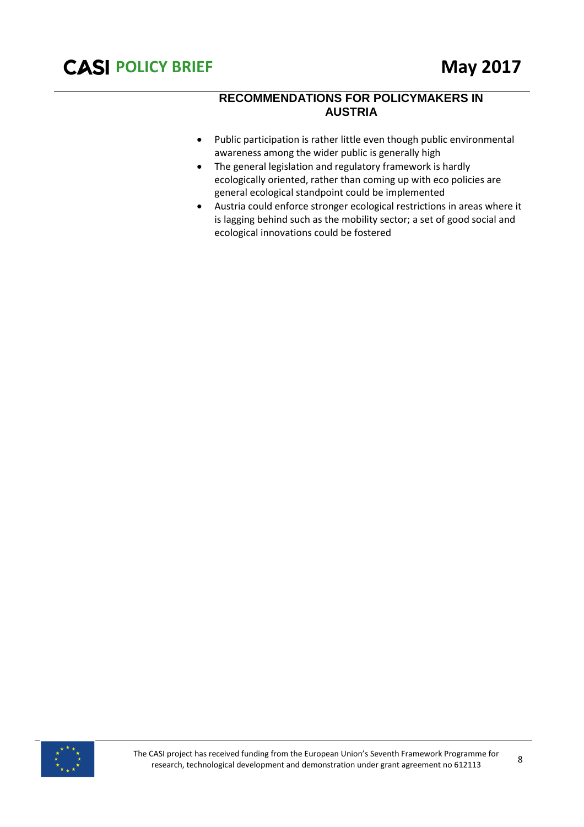#### **RECOMMENDATIONS FOR POLICYMAKERS IN AUSTRIA**

- Public participation is rather little even though public environmental awareness among the wider public is generally high
- The general legislation and regulatory framework is hardly ecologically oriented, rather than coming up with eco policies are general ecological standpoint could be implemented
- Austria could enforce stronger ecological restrictions in areas where it is lagging behind such as the mobility sector; a set of good social and ecological innovations could be fostered

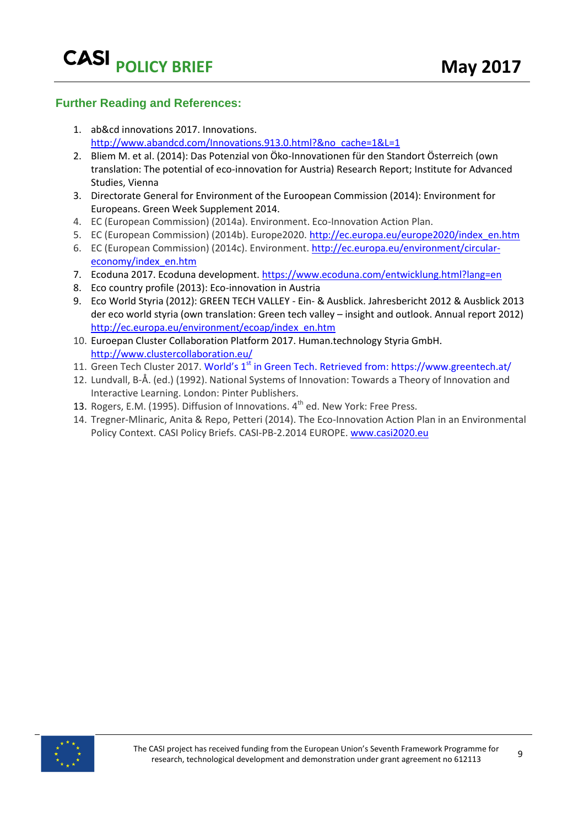#### **Further Reading and References:**

- 1. ab&cd innovations 2017. Innovations. [http://www.abandcd.com/Innovations.913.0.html?&no\\_cache=1&L=1](http://www.abandcd.com/Innovations.913.0.html?&no_cache=1&L=1)
- 2. Bliem M. et al. (2014): Das Potenzial von Öko-Innovationen für den Standort Österreich (own translation: The potential of eco-innovation for Austria) Research Report; Institute for Advanced Studies, Vienna
- 3. Directorate General for Environment of the Euroopean Commission (2014): Environment for Europeans. Green Week Supplement 2014.
- 4. EC (European Commission) (2014a). Environment. Eco-Innovation Action Plan.
- 5. EC (European Commission) (2014b). Europe2020. [http://ec.europa.eu/europe2020/index\\_en.htm](http://ec.europa.eu/europe2020/index_en.htm)
- 6. EC (European Commission) (2014c). Environment[. http://ec.europa.eu/environment/circular](http://ec.europa.eu/environment/circular-economy/index_en.htm)[economy/index\\_en.htm](http://ec.europa.eu/environment/circular-economy/index_en.htm)
- 7. Ecoduna 2017. Ecoduna development.<https://www.ecoduna.com/entwicklung.html?lang=en>
- 8. Eco country profile (2013): Eco-innovation in Austria
- 9. Eco World Styria (2012): GREEN TECH VALLEY Ein- & Ausblick. Jahresbericht 2012 & Ausblick 2013 der eco world styria (own translation: Green tech valley – insight and outlook. Annual report 2012) [http://ec.europa.eu/environment/ecoap/index\\_en.htm](http://ec.europa.eu/environment/ecoap/index_en.htm)
- 10. Euroepan Cluster Collaboration Platform 2017. Human.technology Styria GmbH. <http://www.clustercollaboration.eu/>
- 11. Green Tech Cluster 2017. World's 1<sup>st</sup> in Green Tech. Retrieved from: https://www.greentech.at/
- 12. Lundvall, B-Å. (ed.) (1992). National Systems of Innovation: Towards a Theory of Innovation and Interactive Learning. London: Pinter Publishers.
- 13. Rogers, E.M. (1995). Diffusion of Innovations.  $4<sup>th</sup>$  ed. New York: Free Press.
- 14. Tregner-Mlinaric, Anita & Repo, Petteri (2014). The Eco-Innovation Action Plan in an Environmental Policy Context. CASI Policy Briefs. CASI-PB-2.2014 EUROPE. [www.casi2020.eu](http://www.casi2020.eu/)

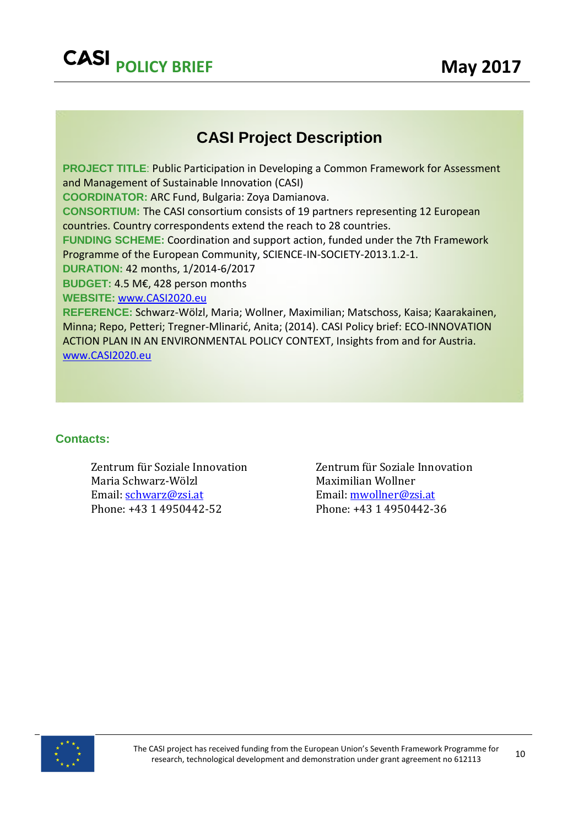## **CASI Project Description**

**PROJECT TITLE: Public Participation in Developing a Common Framework for Assessment** and Management of Sustainable Innovation (CASI) **COORDINATOR:** ARC Fund, Bulgaria: Zoya Damianova. **CONSORTIUM:** The CASI consortium consists of 19 partners representing 12 European countries. Country correspondents extend the reach to 28 countries. **FUNDING SCHEME:** Coordination and support action, funded under the 7th Framework Programme of the European Community, SCIENCE-IN-SOCIETY-2013.1.2-1. **DURATION:** 42 months, 1/2014-6/2017 **BUDGET:** 4.5 M€, 428 person months **WEBSITE:** [www.CASI2020.eu](http://www.casi2020.eu/) **REFERENCE:** Schwarz-Wölzl, Maria; Wollner, Maximilian; Matschoss, Kaisa; Kaarakainen,

Minna; Repo, Petteri; Tregner-Mlinarić, Anita; (2014). CASI Policy brief: ECO-INNOVATION ACTION PLAN IN AN ENVIRONMENTAL POLICY CONTEXT, Insights from and for Austria. [www.CASI2020.eu](http://www.casi2020.eu/)

#### **Contacts:**

Zentrum für Soziale Innovation Maria Schwarz-Wölzl Email: [schwarz@zsi.at](mailto:schwarz@zsi.at) Phone: +43 1 4950442-52

Zentrum für Soziale Innovation Maximilian Wollner Email: [mwollner@zsi.at](mailto:mwollner@zsi.at) Phone: +43 1 4950442-36

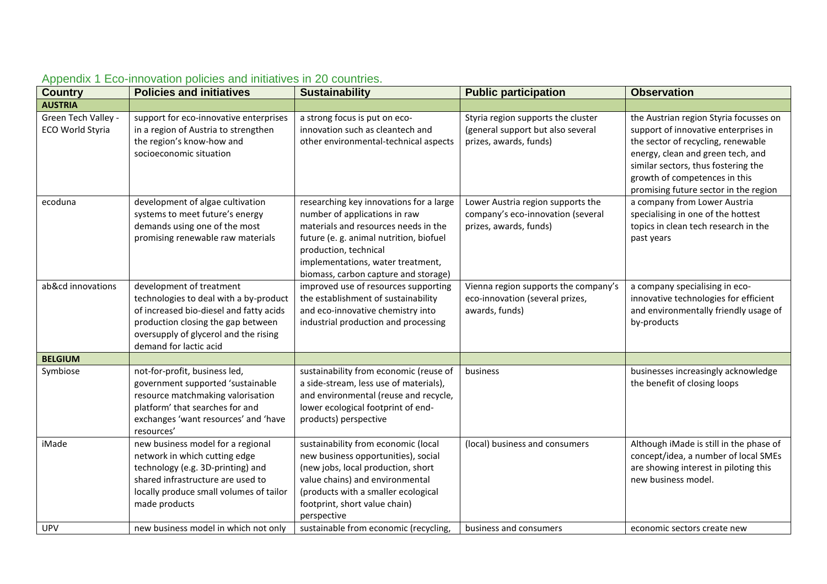| <b>Country</b>                          | <b>Policies and initiatives</b>                                                                                                                                                                                        | <b>Sustainability</b>                                                                                                                                                                                                                                            | <b>Public participation</b>                                                                       | <b>Observation</b>                                                                                                                                                                                                                                                         |
|-----------------------------------------|------------------------------------------------------------------------------------------------------------------------------------------------------------------------------------------------------------------------|------------------------------------------------------------------------------------------------------------------------------------------------------------------------------------------------------------------------------------------------------------------|---------------------------------------------------------------------------------------------------|----------------------------------------------------------------------------------------------------------------------------------------------------------------------------------------------------------------------------------------------------------------------------|
| <b>AUSTRIA</b>                          |                                                                                                                                                                                                                        |                                                                                                                                                                                                                                                                  |                                                                                                   |                                                                                                                                                                                                                                                                            |
| Green Tech Valley -<br>ECO World Styria | support for eco-innovative enterprises<br>in a region of Austria to strengthen<br>the region's know-how and<br>socioeconomic situation                                                                                 | a strong focus is put on eco-<br>innovation such as cleantech and<br>other environmental-technical aspects                                                                                                                                                       | Styria region supports the cluster<br>(general support but also several<br>prizes, awards, funds) | the Austrian region Styria focusses on<br>support of innovative enterprises in<br>the sector of recycling, renewable<br>energy, clean and green tech, and<br>similar sectors, thus fostering the<br>growth of competences in this<br>promising future sector in the region |
| ecoduna                                 | development of algae cultivation<br>systems to meet future's energy<br>demands using one of the most<br>promising renewable raw materials                                                                              | researching key innovations for a large<br>number of applications in raw<br>materials and resources needs in the<br>future (e.g. animal nutrition, biofuel<br>production, technical<br>implementations, water treatment,<br>biomass, carbon capture and storage) | Lower Austria region supports the<br>company's eco-innovation (several<br>prizes, awards, funds)  | a company from Lower Austria<br>specialising in one of the hottest<br>topics in clean tech research in the<br>past years                                                                                                                                                   |
| ab&cd innovations                       | development of treatment<br>technologies to deal with a by-product<br>of increased bio-diesel and fatty acids<br>production closing the gap between<br>oversupply of glycerol and the rising<br>demand for lactic acid | improved use of resources supporting<br>the establishment of sustainability<br>and eco-innovative chemistry into<br>industrial production and processing                                                                                                         | Vienna region supports the company's<br>eco-innovation (several prizes,<br>awards, funds)         | a company specialising in eco-<br>innovative technologies for efficient<br>and environmentally friendly usage of<br>by-products                                                                                                                                            |
| <b>BELGIUM</b>                          |                                                                                                                                                                                                                        |                                                                                                                                                                                                                                                                  |                                                                                                   |                                                                                                                                                                                                                                                                            |
| Symbiose                                | not-for-profit, business led,<br>government supported 'sustainable<br>resource matchmaking valorisation<br>platform' that searches for and<br>exchanges 'want resources' and 'have<br>resources'                       | sustainability from economic (reuse of<br>a side-stream, less use of materials),<br>and environmental (reuse and recycle,<br>lower ecological footprint of end-<br>products) perspective                                                                         | business                                                                                          | businesses increasingly acknowledge<br>the benefit of closing loops                                                                                                                                                                                                        |
| iMade                                   | new business model for a regional<br>network in which cutting edge<br>technology (e.g. 3D-printing) and<br>shared infrastructure are used to<br>locally produce small volumes of tailor<br>made products               | sustainability from economic (local<br>new business opportunities), social<br>(new jobs, local production, short<br>value chains) and environmental<br>(products with a smaller ecological<br>footprint, short value chain)<br>perspective                       | (local) business and consumers                                                                    | Although iMade is still in the phase of<br>concept/idea, a number of local SMEs<br>are showing interest in piloting this<br>new business model.                                                                                                                            |
| <b>UPV</b>                              | new business model in which not only                                                                                                                                                                                   | sustainable from economic (recycling,                                                                                                                                                                                                                            | business and consumers                                                                            | economic sectors create new                                                                                                                                                                                                                                                |

### Appendix 1 Eco-innovation policies and initiatives in 20 countries.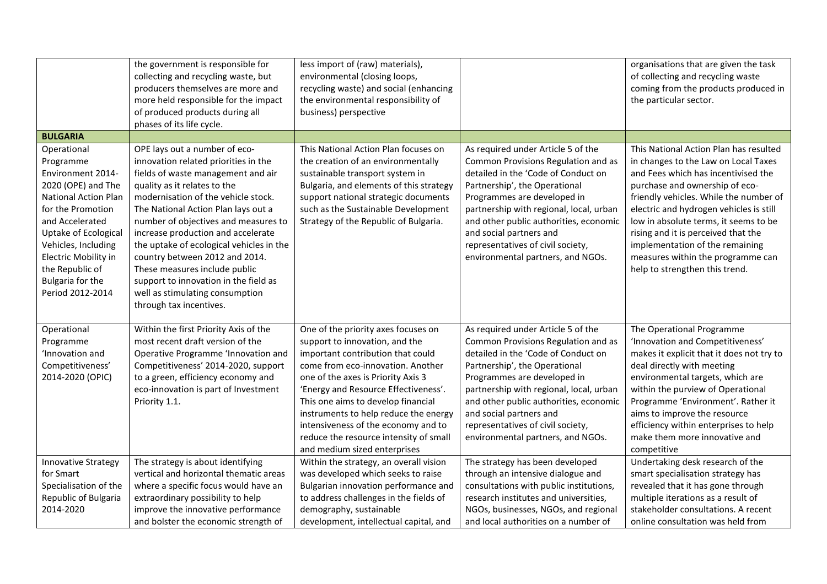|                                                                                                                                                                                                                                                                              | the government is responsible for<br>collecting and recycling waste, but<br>producers themselves are more and<br>more held responsible for the impact<br>of produced products during all<br>phases of its life cycle.                                                                                                                                                                                                                                                                                                         | less import of (raw) materials),<br>environmental (closing loops,<br>recycling waste) and social (enhancing<br>the environmental responsibility of<br>business) perspective                                                                                                                                                                                                                                                   |                                                                                                                                                                                                                                                                                                                                                                            | organisations that are given the task<br>of collecting and recycling waste<br>coming from the products produced in<br>the particular sector.                                                                                                                                                                                                                                                                                           |
|------------------------------------------------------------------------------------------------------------------------------------------------------------------------------------------------------------------------------------------------------------------------------|-------------------------------------------------------------------------------------------------------------------------------------------------------------------------------------------------------------------------------------------------------------------------------------------------------------------------------------------------------------------------------------------------------------------------------------------------------------------------------------------------------------------------------|-------------------------------------------------------------------------------------------------------------------------------------------------------------------------------------------------------------------------------------------------------------------------------------------------------------------------------------------------------------------------------------------------------------------------------|----------------------------------------------------------------------------------------------------------------------------------------------------------------------------------------------------------------------------------------------------------------------------------------------------------------------------------------------------------------------------|----------------------------------------------------------------------------------------------------------------------------------------------------------------------------------------------------------------------------------------------------------------------------------------------------------------------------------------------------------------------------------------------------------------------------------------|
| <b>BULGARIA</b>                                                                                                                                                                                                                                                              |                                                                                                                                                                                                                                                                                                                                                                                                                                                                                                                               |                                                                                                                                                                                                                                                                                                                                                                                                                               |                                                                                                                                                                                                                                                                                                                                                                            |                                                                                                                                                                                                                                                                                                                                                                                                                                        |
| Operational<br>Programme<br>Environment 2014-<br>2020 (OPE) and The<br><b>National Action Plan</b><br>for the Promotion<br>and Accelerated<br>Uptake of Ecological<br>Vehicles, Including<br>Electric Mobility in<br>the Republic of<br>Bulgaria for the<br>Period 2012-2014 | OPE lays out a number of eco-<br>innovation related priorities in the<br>fields of waste management and air<br>quality as it relates to the<br>modernisation of the vehicle stock.<br>The National Action Plan lays out a<br>number of objectives and measures to<br>increase production and accelerate<br>the uptake of ecological vehicles in the<br>country between 2012 and 2014.<br>These measures include public<br>support to innovation in the field as<br>well as stimulating consumption<br>through tax incentives. | This National Action Plan focuses on<br>the creation of an environmentally<br>sustainable transport system in<br>Bulgaria, and elements of this strategy<br>support national strategic documents<br>such as the Sustainable Development<br>Strategy of the Republic of Bulgaria.                                                                                                                                              | As required under Article 5 of the<br>Common Provisions Regulation and as<br>detailed in the 'Code of Conduct on<br>Partnership', the Operational<br>Programmes are developed in<br>partnership with regional, local, urban<br>and other public authorities, economic<br>and social partners and<br>representatives of civil society,<br>environmental partners, and NGOs. | This National Action Plan has resulted<br>in changes to the Law on Local Taxes<br>and Fees which has incentivised the<br>purchase and ownership of eco-<br>friendly vehicles. While the number of<br>electric and hydrogen vehicles is still<br>low in absolute terms, it seems to be<br>rising and it is perceived that the<br>implementation of the remaining<br>measures within the programme can<br>help to strengthen this trend. |
| Operational<br>Programme<br>'Innovation and<br>Competitiveness'<br>2014-2020 (OPIC)                                                                                                                                                                                          | Within the first Priority Axis of the<br>most recent draft version of the<br>Operative Programme 'Innovation and<br>Competitiveness' 2014-2020, support<br>to a green, efficiency economy and<br>eco-innovation is part of Investment<br>Priority 1.1.                                                                                                                                                                                                                                                                        | One of the priority axes focuses on<br>support to innovation, and the<br>important contribution that could<br>come from eco-innovation. Another<br>one of the axes is Priority Axis 3<br>'Energy and Resource Effectiveness'.<br>This one aims to develop financial<br>instruments to help reduce the energy<br>intensiveness of the economy and to<br>reduce the resource intensity of small<br>and medium sized enterprises | As required under Article 5 of the<br>Common Provisions Regulation and as<br>detailed in the 'Code of Conduct on<br>Partnership', the Operational<br>Programmes are developed in<br>partnership with regional, local, urban<br>and other public authorities, economic<br>and social partners and<br>representatives of civil society,<br>environmental partners, and NGOs. | The Operational Programme<br>'Innovation and Competitiveness'<br>makes it explicit that it does not try to<br>deal directly with meeting<br>environmental targets, which are<br>within the purview of Operational<br>Programme 'Environment'. Rather it<br>aims to improve the resource<br>efficiency within enterprises to help<br>make them more innovative and<br>competitive                                                       |
| <b>Innovative Strategy</b><br>for Smart<br>Specialisation of the<br>Republic of Bulgaria<br>2014-2020                                                                                                                                                                        | The strategy is about identifying<br>vertical and horizontal thematic areas<br>where a specific focus would have an<br>extraordinary possibility to help<br>improve the innovative performance<br>and bolster the economic strength of                                                                                                                                                                                                                                                                                        | Within the strategy, an overall vision<br>was developed which seeks to raise<br>Bulgarian innovation performance and<br>to address challenges in the fields of<br>demography, sustainable<br>development, intellectual capital, and                                                                                                                                                                                           | The strategy has been developed<br>through an intensive dialogue and<br>consultations with public institutions,<br>research institutes and universities,<br>NGOs, businesses, NGOs, and regional<br>and local authorities on a number of                                                                                                                                   | Undertaking desk research of the<br>smart specialisation strategy has<br>revealed that it has gone through<br>multiple iterations as a result of<br>stakeholder consultations. A recent<br>online consultation was held from                                                                                                                                                                                                           |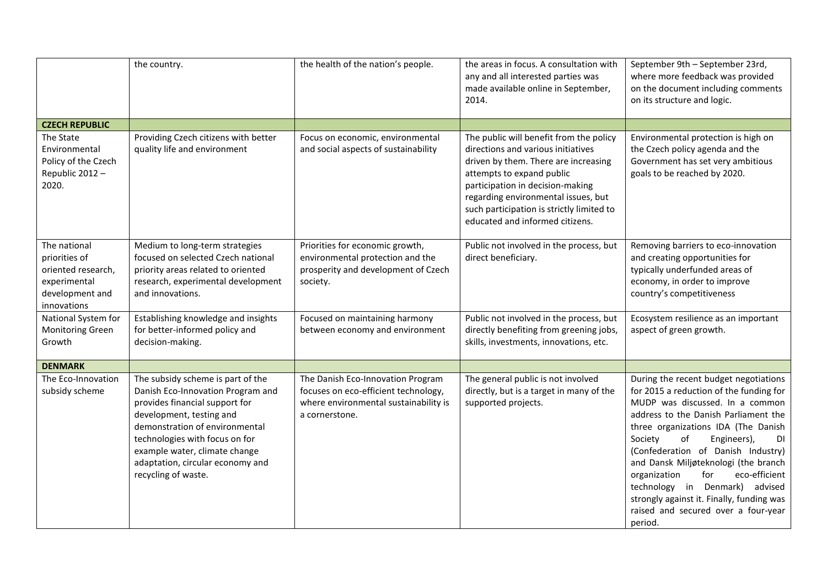|                                                                                                       | the country.                                                                                                                                                                                                                                                                                         | the health of the nation's people.                                                                                                   | the areas in focus. A consultation with<br>any and all interested parties was<br>made available online in September,<br>2014.                                                                                                                                                                                 | September 9th - September 23rd,<br>where more feedback was provided<br>on the document including comments<br>on its structure and logic.                                                                                                                                                                                                                                                                                                                                                           |
|-------------------------------------------------------------------------------------------------------|------------------------------------------------------------------------------------------------------------------------------------------------------------------------------------------------------------------------------------------------------------------------------------------------------|--------------------------------------------------------------------------------------------------------------------------------------|---------------------------------------------------------------------------------------------------------------------------------------------------------------------------------------------------------------------------------------------------------------------------------------------------------------|----------------------------------------------------------------------------------------------------------------------------------------------------------------------------------------------------------------------------------------------------------------------------------------------------------------------------------------------------------------------------------------------------------------------------------------------------------------------------------------------------|
| <b>CZECH REPUBLIC</b>                                                                                 |                                                                                                                                                                                                                                                                                                      |                                                                                                                                      |                                                                                                                                                                                                                                                                                                               |                                                                                                                                                                                                                                                                                                                                                                                                                                                                                                    |
| The State<br>Environmental<br>Policy of the Czech<br>Republic 2012 -<br>2020.                         | Providing Czech citizens with better<br>quality life and environment                                                                                                                                                                                                                                 | Focus on economic, environmental<br>and social aspects of sustainability                                                             | The public will benefit from the policy<br>directions and various initiatives<br>driven by them. There are increasing<br>attempts to expand public<br>participation in decision-making<br>regarding environmental issues, but<br>such participation is strictly limited to<br>educated and informed citizens. | Environmental protection is high on<br>the Czech policy agenda and the<br>Government has set very ambitious<br>goals to be reached by 2020.                                                                                                                                                                                                                                                                                                                                                        |
| The national<br>priorities of<br>oriented research,<br>experimental<br>development and<br>innovations | Medium to long-term strategies<br>focused on selected Czech national<br>priority areas related to oriented<br>research, experimental development<br>and innovations.                                                                                                                                 | Priorities for economic growth,<br>environmental protection and the<br>prosperity and development of Czech<br>society.               | Public not involved in the process, but<br>direct beneficiary.                                                                                                                                                                                                                                                | Removing barriers to eco-innovation<br>and creating opportunities for<br>typically underfunded areas of<br>economy, in order to improve<br>country's competitiveness                                                                                                                                                                                                                                                                                                                               |
| National System for<br><b>Monitoring Green</b><br>Growth                                              | Establishing knowledge and insights<br>for better-informed policy and<br>decision-making.                                                                                                                                                                                                            | Focused on maintaining harmony<br>between economy and environment                                                                    | Public not involved in the process, but<br>directly benefiting from greening jobs,<br>skills, investments, innovations, etc.                                                                                                                                                                                  | Ecosystem resilience as an important<br>aspect of green growth.                                                                                                                                                                                                                                                                                                                                                                                                                                    |
| <b>DENMARK</b>                                                                                        |                                                                                                                                                                                                                                                                                                      |                                                                                                                                      |                                                                                                                                                                                                                                                                                                               |                                                                                                                                                                                                                                                                                                                                                                                                                                                                                                    |
| The Eco-Innovation<br>subsidy scheme                                                                  | The subsidy scheme is part of the<br>Danish Eco-Innovation Program and<br>provides financial support for<br>development, testing and<br>demonstration of environmental<br>technologies with focus on for<br>example water, climate change<br>adaptation, circular economy and<br>recycling of waste. | The Danish Eco-Innovation Program<br>focuses on eco-efficient technology,<br>where environmental sustainability is<br>a cornerstone. | The general public is not involved<br>directly, but is a target in many of the<br>supported projects.                                                                                                                                                                                                         | During the recent budget negotiations<br>for 2015 a reduction of the funding for<br>MUDP was discussed. In a common<br>address to the Danish Parliament the<br>three organizations IDA (The Danish<br>Society<br>of<br>Engineers),<br>DI<br>(Confederation of Danish Industry)<br>and Dansk Miljøteknologi (the branch<br>eco-efficient<br>organization<br>for<br>technology in Denmark)<br>advised<br>strongly against it. Finally, funding was<br>raised and secured over a four-year<br>period. |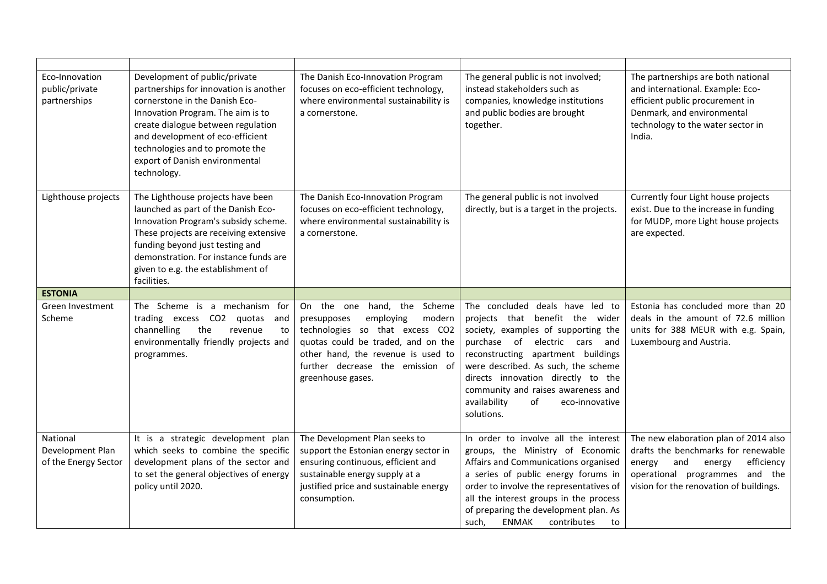| Eco-Innovation<br>public/private<br>partnerships     | Development of public/private<br>partnerships for innovation is another<br>cornerstone in the Danish Eco-<br>Innovation Program. The aim is to<br>create dialogue between regulation<br>and development of eco-efficient<br>technologies and to promote the<br>export of Danish environmental<br>technology. | The Danish Eco-Innovation Program<br>focuses on eco-efficient technology,<br>where environmental sustainability is<br>a cornerstone.                                                                                                            | The general public is not involved;<br>instead stakeholders such as<br>companies, knowledge institutions<br>and public bodies are brought<br>together.                                                                                                                                                                                                       | The partnerships are both national<br>and international. Example: Eco-<br>efficient public procurement in<br>Denmark, and environmental<br>technology to the water sector in<br>India.             |
|------------------------------------------------------|--------------------------------------------------------------------------------------------------------------------------------------------------------------------------------------------------------------------------------------------------------------------------------------------------------------|-------------------------------------------------------------------------------------------------------------------------------------------------------------------------------------------------------------------------------------------------|--------------------------------------------------------------------------------------------------------------------------------------------------------------------------------------------------------------------------------------------------------------------------------------------------------------------------------------------------------------|----------------------------------------------------------------------------------------------------------------------------------------------------------------------------------------------------|
| Lighthouse projects                                  | The Lighthouse projects have been<br>launched as part of the Danish Eco-<br>Innovation Program's subsidy scheme.<br>These projects are receiving extensive<br>funding beyond just testing and<br>demonstration. For instance funds are<br>given to e.g. the establishment of<br>facilities.                  | The Danish Eco-Innovation Program<br>focuses on eco-efficient technology,<br>where environmental sustainability is<br>a cornerstone.                                                                                                            | The general public is not involved<br>directly, but is a target in the projects.                                                                                                                                                                                                                                                                             | Currently four Light house projects<br>exist. Due to the increase in funding<br>for MUDP, more Light house projects<br>are expected.                                                               |
| <b>ESTONIA</b>                                       |                                                                                                                                                                                                                                                                                                              |                                                                                                                                                                                                                                                 |                                                                                                                                                                                                                                                                                                                                                              |                                                                                                                                                                                                    |
| Green Investment<br>Scheme                           | The Scheme is a mechanism for<br>trading excess CO2 quotas<br>and<br>channelling<br>the<br>revenue<br>to<br>environmentally friendly projects and<br>programmes.                                                                                                                                             | On the one<br>hand,<br>the Scheme<br>presupposes<br>employing<br>modern<br>technologies so that excess CO2<br>quotas could be traded, and on the<br>other hand, the revenue is used to<br>further decrease the emission of<br>greenhouse gases. | The concluded<br>deals have led to<br>projects that benefit the wider<br>society, examples of supporting the<br>purchase of electric cars and<br>reconstructing apartment buildings<br>were described. As such, the scheme<br>directs innovation directly to the<br>community and raises awareness and<br>availability<br>of<br>eco-innovative<br>solutions. | Estonia has concluded more than 20<br>deals in the amount of 72.6 million<br>units for 388 MEUR with e.g. Spain,<br>Luxembourg and Austria.                                                        |
| National<br>Development Plan<br>of the Energy Sector | It is a strategic development plan<br>which seeks to combine the specific<br>development plans of the sector and<br>to set the general objectives of energy<br>policy until 2020.                                                                                                                            | The Development Plan seeks to<br>support the Estonian energy sector in<br>ensuring continuous, efficient and<br>sustainable energy supply at a<br>justified price and sustainable energy<br>consumption.                                        | In order to involve all the interest<br>groups, the Ministry of Economic<br>Affairs and Communications organised<br>a series of public energy forums in<br>order to involve the representatives of<br>all the interest groups in the process<br>of preparing the development plan. As<br>such,<br><b>ENMAK</b><br>contributes<br>to                          | The new elaboration plan of 2014 also<br>drafts the benchmarks for renewable<br>efficiency<br>and<br>energy<br>energy<br>operational programmes and the<br>vision for the renovation of buildings. |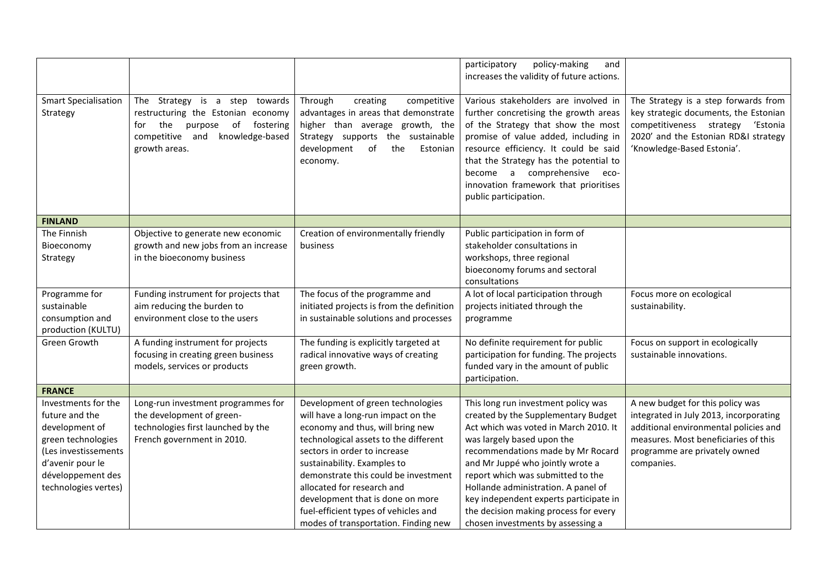|                                                                                                                                                                         |                                                                                                                                                                                                                                                                                                                                                                       | participatory<br>policy-making<br>and<br>increases the validity of future actions.                                                                                                                                                                                                                                                                                                        |                                                                                                                                                                                                            |
|-------------------------------------------------------------------------------------------------------------------------------------------------------------------------|-----------------------------------------------------------------------------------------------------------------------------------------------------------------------------------------------------------------------------------------------------------------------------------------------------------------------------------------------------------------------|-------------------------------------------------------------------------------------------------------------------------------------------------------------------------------------------------------------------------------------------------------------------------------------------------------------------------------------------------------------------------------------------|------------------------------------------------------------------------------------------------------------------------------------------------------------------------------------------------------------|
| The Strategy is a step towards<br>restructuring the Estonian economy<br>the<br>of<br>fostering<br>purpose<br>for<br>knowledge-based<br>competitive and<br>growth areas. | Through<br>creating<br>competitive<br>advantages in areas that demonstrate<br>higher than average growth, the<br>Strategy supports the sustainable<br>development<br>the<br>of<br>Estonian<br>economy.                                                                                                                                                                | Various stakeholders are involved in<br>further concretising the growth areas<br>of the Strategy that show the most<br>promise of value added, including in<br>resource efficiency. It could be said<br>that the Strategy has the potential to<br>become a comprehensive<br>eco-<br>innovation framework that prioritises<br>public participation.                                        | The Strategy is a step forwards from<br>key strategic documents, the Estonian<br>competitiveness strategy 'Estonia<br>2020' and the Estonian RD&I strategy<br>'Knowledge-Based Estonia'.                   |
|                                                                                                                                                                         |                                                                                                                                                                                                                                                                                                                                                                       |                                                                                                                                                                                                                                                                                                                                                                                           |                                                                                                                                                                                                            |
| Objective to generate new economic<br>growth and new jobs from an increase<br>in the bioeconomy business                                                                | Creation of environmentally friendly<br>business                                                                                                                                                                                                                                                                                                                      | Public participation in form of<br>stakeholder consultations in<br>workshops, three regional<br>bioeconomy forums and sectoral<br>consultations                                                                                                                                                                                                                                           |                                                                                                                                                                                                            |
| aim reducing the burden to<br>environment close to the users                                                                                                            | initiated projects is from the definition<br>in sustainable solutions and processes                                                                                                                                                                                                                                                                                   | projects initiated through the<br>programme                                                                                                                                                                                                                                                                                                                                               | Focus more on ecological<br>sustainability.                                                                                                                                                                |
| A funding instrument for projects<br>focusing in creating green business<br>models, services or products                                                                | The funding is explicitly targeted at<br>radical innovative ways of creating<br>green growth.                                                                                                                                                                                                                                                                         | No definite requirement for public<br>participation for funding. The projects<br>funded vary in the amount of public<br>participation.                                                                                                                                                                                                                                                    | Focus on support in ecologically<br>sustainable innovations.                                                                                                                                               |
|                                                                                                                                                                         |                                                                                                                                                                                                                                                                                                                                                                       |                                                                                                                                                                                                                                                                                                                                                                                           |                                                                                                                                                                                                            |
| Long-run investment programmes for<br>the development of green-<br>technologies first launched by the<br>French government in 2010.                                     | Development of green technologies<br>will have a long-run impact on the<br>economy and thus, will bring new<br>technological assets to the different<br>sectors in order to increase<br>sustainability. Examples to<br>demonstrate this could be investment<br>allocated for research and<br>development that is done on more<br>fuel-efficient types of vehicles and | This long run investment policy was<br>created by the Supplementary Budget<br>Act which was voted in March 2010. It<br>was largely based upon the<br>recommendations made by Mr Rocard<br>and Mr Juppé who jointly wrote a<br>report which was submitted to the<br>Hollande administration. A panel of<br>key independent experts participate in<br>the decision making process for every | A new budget for this policy was<br>integrated in July 2013, incorporating<br>additional environmental policies and<br>measures. Most beneficiaries of this<br>programme are privately owned<br>companies. |
|                                                                                                                                                                         | Funding instrument for projects that                                                                                                                                                                                                                                                                                                                                  | The focus of the programme and<br>modes of transportation. Finding new                                                                                                                                                                                                                                                                                                                    | A lot of local participation through<br>chosen investments by assessing a                                                                                                                                  |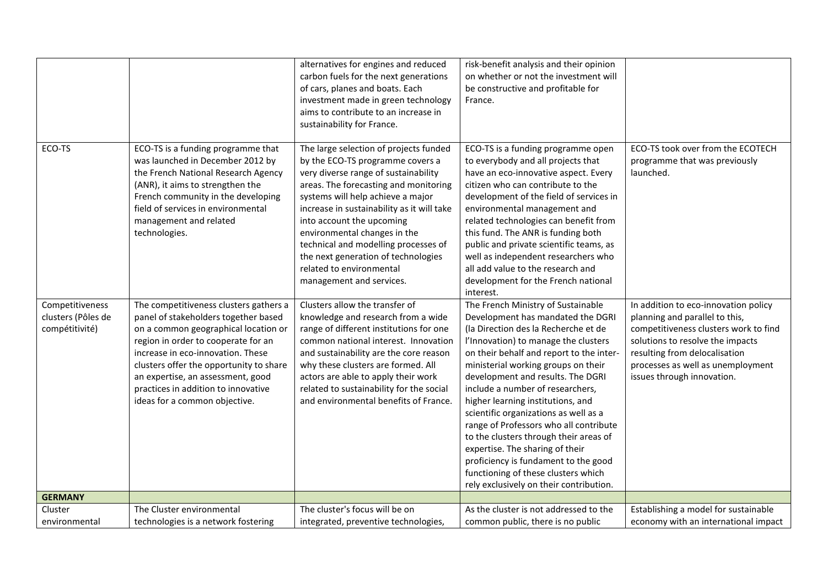|                                                         |                                                                                                                                                                                                                                                                                                                                                            | alternatives for engines and reduced<br>carbon fuels for the next generations<br>of cars, planes and boats. Each<br>investment made in green technology<br>aims to contribute to an increase in<br>sustainability for France.                                                                                                                                                                                                                      | risk-benefit analysis and their opinion<br>on whether or not the investment will<br>be constructive and profitable for<br>France.                                                                                                                                                                                                                                                                                                                                                                                                                                                                                                                  |                                                                                                                                                                                                                                                         |
|---------------------------------------------------------|------------------------------------------------------------------------------------------------------------------------------------------------------------------------------------------------------------------------------------------------------------------------------------------------------------------------------------------------------------|----------------------------------------------------------------------------------------------------------------------------------------------------------------------------------------------------------------------------------------------------------------------------------------------------------------------------------------------------------------------------------------------------------------------------------------------------|----------------------------------------------------------------------------------------------------------------------------------------------------------------------------------------------------------------------------------------------------------------------------------------------------------------------------------------------------------------------------------------------------------------------------------------------------------------------------------------------------------------------------------------------------------------------------------------------------------------------------------------------------|---------------------------------------------------------------------------------------------------------------------------------------------------------------------------------------------------------------------------------------------------------|
| ECO-TS                                                  | ECO-TS is a funding programme that<br>was launched in December 2012 by<br>the French National Research Agency<br>(ANR), it aims to strengthen the<br>French community in the developing<br>field of services in environmental<br>management and related<br>technologies.                                                                                   | The large selection of projects funded<br>by the ECO-TS programme covers a<br>very diverse range of sustainability<br>areas. The forecasting and monitoring<br>systems will help achieve a major<br>increase in sustainability as it will take<br>into account the upcoming<br>environmental changes in the<br>technical and modelling processes of<br>the next generation of technologies<br>related to environmental<br>management and services. | ECO-TS is a funding programme open<br>to everybody and all projects that<br>have an eco-innovative aspect. Every<br>citizen who can contribute to the<br>development of the field of services in<br>environmental management and<br>related technologies can benefit from<br>this fund. The ANR is funding both<br>public and private scientific teams, as<br>well as independent researchers who<br>all add value to the research and<br>development for the French national<br>interest.                                                                                                                                                         | ECO-TS took over from the ECOTECH<br>programme that was previously<br>launched.                                                                                                                                                                         |
| Competitiveness<br>clusters (Pôles de<br>compétitivité) | The competitiveness clusters gathers a<br>panel of stakeholders together based<br>on a common geographical location or<br>region in order to cooperate for an<br>increase in eco-innovation. These<br>clusters offer the opportunity to share<br>an expertise, an assessment, good<br>practices in addition to innovative<br>ideas for a common objective. | Clusters allow the transfer of<br>knowledge and research from a wide<br>range of different institutions for one<br>common national interest. Innovation<br>and sustainability are the core reason<br>why these clusters are formed. All<br>actors are able to apply their work<br>related to sustainability for the social<br>and environmental benefits of France.                                                                                | The French Ministry of Sustainable<br>Development has mandated the DGRI<br>(la Direction des la Recherche et de<br>l'Innovation) to manage the clusters<br>on their behalf and report to the inter-<br>ministerial working groups on their<br>development and results. The DGRI<br>include a number of researchers,<br>higher learning institutions, and<br>scientific organizations as well as a<br>range of Professors who all contribute<br>to the clusters through their areas of<br>expertise. The sharing of their<br>proficiency is fundament to the good<br>functioning of these clusters which<br>rely exclusively on their contribution. | In addition to eco-innovation policy<br>planning and parallel to this,<br>competitiveness clusters work to find<br>solutions to resolve the impacts<br>resulting from delocalisation<br>processes as well as unemployment<br>issues through innovation. |
| <b>GERMANY</b>                                          |                                                                                                                                                                                                                                                                                                                                                            |                                                                                                                                                                                                                                                                                                                                                                                                                                                    |                                                                                                                                                                                                                                                                                                                                                                                                                                                                                                                                                                                                                                                    |                                                                                                                                                                                                                                                         |
| Cluster<br>environmental                                | The Cluster environmental<br>technologies is a network fostering                                                                                                                                                                                                                                                                                           | The cluster's focus will be on<br>integrated, preventive technologies,                                                                                                                                                                                                                                                                                                                                                                             | As the cluster is not addressed to the<br>common public, there is no public                                                                                                                                                                                                                                                                                                                                                                                                                                                                                                                                                                        | Establishing a model for sustainable<br>economy with an international impact                                                                                                                                                                            |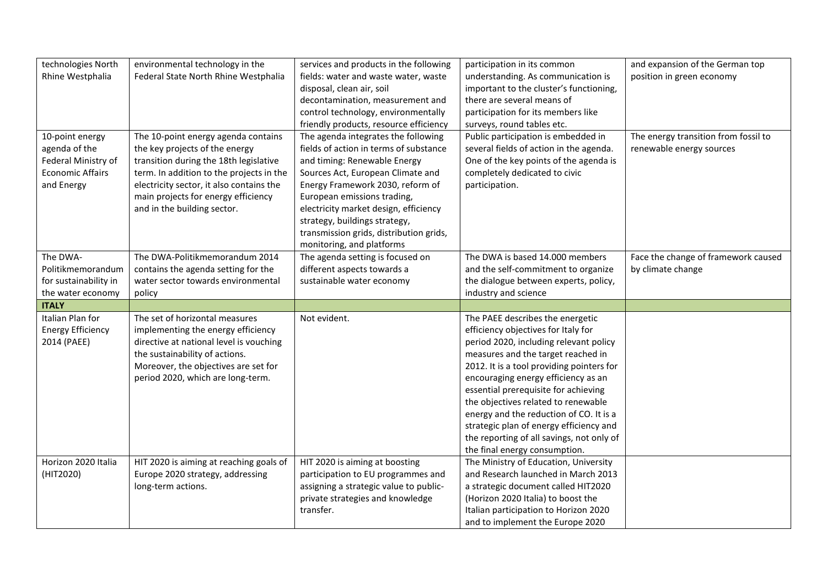| technologies North       | environmental technology in the          | services and products in the following  | participation in its common               | and expansion of the German top      |
|--------------------------|------------------------------------------|-----------------------------------------|-------------------------------------------|--------------------------------------|
| Rhine Westphalia         | Federal State North Rhine Westphalia     | fields: water and waste water, waste    | understanding. As communication is        | position in green economy            |
|                          |                                          | disposal, clean air, soil               | important to the cluster's functioning,   |                                      |
|                          |                                          | decontamination, measurement and        | there are several means of                |                                      |
|                          |                                          | control technology, environmentally     | participation for its members like        |                                      |
|                          |                                          |                                         |                                           |                                      |
|                          |                                          | friendly products, resource efficiency  | surveys, round tables etc.                |                                      |
| 10-point energy          | The 10-point energy agenda contains      | The agenda integrates the following     | Public participation is embedded in       | The energy transition from fossil to |
| agenda of the            | the key projects of the energy           | fields of action in terms of substance  | several fields of action in the agenda.   | renewable energy sources             |
| Federal Ministry of      | transition during the 18th legislative   | and timing: Renewable Energy            | One of the key points of the agenda is    |                                      |
| <b>Economic Affairs</b>  | term. In addition to the projects in the | Sources Act, European Climate and       | completely dedicated to civic             |                                      |
| and Energy               | electricity sector, it also contains the | Energy Framework 2030, reform of        | participation.                            |                                      |
|                          | main projects for energy efficiency      | European emissions trading,             |                                           |                                      |
|                          | and in the building sector.              | electricity market design, efficiency   |                                           |                                      |
|                          |                                          | strategy, buildings strategy,           |                                           |                                      |
|                          |                                          | transmission grids, distribution grids, |                                           |                                      |
|                          |                                          | monitoring, and platforms               |                                           |                                      |
| The DWA-                 | The DWA-Politikmemorandum 2014           | The agenda setting is focused on        | The DWA is based 14.000 members           | Face the change of framework caused  |
| Politikmemorandum        | contains the agenda setting for the      | different aspects towards a             | and the self-commitment to organize       | by climate change                    |
| for sustainability in    | water sector towards environmental       | sustainable water economy               | the dialogue between experts, policy,     |                                      |
| the water economy        | policy                                   |                                         | industry and science                      |                                      |
| <b>ITALY</b>             |                                          |                                         |                                           |                                      |
| Italian Plan for         | The set of horizontal measures           | Not evident.                            | The PAEE describes the energetic          |                                      |
|                          |                                          |                                         |                                           |                                      |
| <b>Energy Efficiency</b> | implementing the energy efficiency       |                                         | efficiency objectives for Italy for       |                                      |
| 2014 (PAEE)              | directive at national level is vouching  |                                         | period 2020, including relevant policy    |                                      |
|                          | the sustainability of actions.           |                                         | measures and the target reached in        |                                      |
|                          | Moreover, the objectives are set for     |                                         | 2012. It is a tool providing pointers for |                                      |
|                          | period 2020, which are long-term.        |                                         | encouraging energy efficiency as an       |                                      |
|                          |                                          |                                         | essential prerequisite for achieving      |                                      |
|                          |                                          |                                         | the objectives related to renewable       |                                      |
|                          |                                          |                                         | energy and the reduction of CO. It is a   |                                      |
|                          |                                          |                                         | strategic plan of energy efficiency and   |                                      |
|                          |                                          |                                         | the reporting of all savings, not only of |                                      |
|                          |                                          |                                         | the final energy consumption.             |                                      |
| Horizon 2020 Italia      | HIT 2020 is aiming at reaching goals of  | HIT 2020 is aiming at boosting          | The Ministry of Education, University     |                                      |
| (HIT2020)                | Europe 2020 strategy, addressing         | participation to EU programmes and      | and Research launched in March 2013       |                                      |
|                          | long-term actions.                       | assigning a strategic value to public-  | a strategic document called HIT2020       |                                      |
|                          |                                          | private strategies and knowledge        | (Horizon 2020 Italia) to boost the        |                                      |
|                          |                                          | transfer.                               | Italian participation to Horizon 2020     |                                      |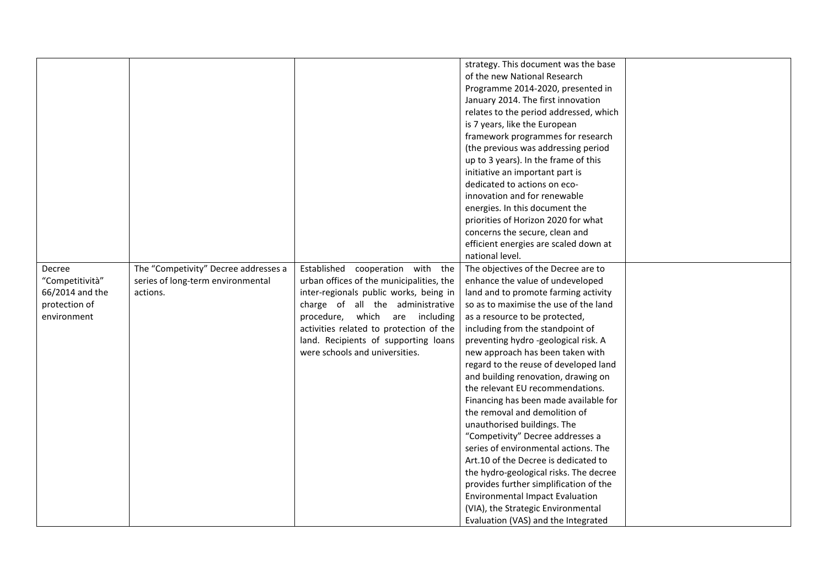|                 |                                      |                                          | strategy. This document was the base   |  |
|-----------------|--------------------------------------|------------------------------------------|----------------------------------------|--|
|                 |                                      |                                          | of the new National Research           |  |
|                 |                                      |                                          | Programme 2014-2020, presented in      |  |
|                 |                                      |                                          | January 2014. The first innovation     |  |
|                 |                                      |                                          |                                        |  |
|                 |                                      |                                          | relates to the period addressed, which |  |
|                 |                                      |                                          | is 7 years, like the European          |  |
|                 |                                      |                                          | framework programmes for research      |  |
|                 |                                      |                                          | (the previous was addressing period    |  |
|                 |                                      |                                          | up to 3 years). In the frame of this   |  |
|                 |                                      |                                          | initiative an important part is        |  |
|                 |                                      |                                          | dedicated to actions on eco-           |  |
|                 |                                      |                                          | innovation and for renewable           |  |
|                 |                                      |                                          | energies. In this document the         |  |
|                 |                                      |                                          | priorities of Horizon 2020 for what    |  |
|                 |                                      |                                          | concerns the secure, clean and         |  |
|                 |                                      |                                          | efficient energies are scaled down at  |  |
|                 |                                      |                                          | national level.                        |  |
| Decree          | The "Competivity" Decree addresses a | Established cooperation with the         | The objectives of the Decree are to    |  |
| "Competitività" | series of long-term environmental    | urban offices of the municipalities, the | enhance the value of undeveloped       |  |
| 66/2014 and the | actions.                             | inter-regionals public works, being in   | land and to promote farming activity   |  |
| protection of   |                                      | charge of all the administrative         | so as to maximise the use of the land  |  |
| environment     |                                      | procedure, which are including           | as a resource to be protected,         |  |
|                 |                                      | activities related to protection of the  | including from the standpoint of       |  |
|                 |                                      | land. Recipients of supporting loans     | preventing hydro -geological risk. A   |  |
|                 |                                      | were schools and universities.           | new approach has been taken with       |  |
|                 |                                      |                                          | regard to the reuse of developed land  |  |
|                 |                                      |                                          | and building renovation, drawing on    |  |
|                 |                                      |                                          | the relevant EU recommendations.       |  |
|                 |                                      |                                          | Financing has been made available for  |  |
|                 |                                      |                                          | the removal and demolition of          |  |
|                 |                                      |                                          | unauthorised buildings. The            |  |
|                 |                                      |                                          | "Competivity" Decree addresses a       |  |
|                 |                                      |                                          | series of environmental actions. The   |  |
|                 |                                      |                                          | Art.10 of the Decree is dedicated to   |  |
|                 |                                      |                                          | the hydro-geological risks. The decree |  |
|                 |                                      |                                          | provides further simplification of the |  |
|                 |                                      |                                          | <b>Environmental Impact Evaluation</b> |  |
|                 |                                      |                                          |                                        |  |
|                 |                                      |                                          | (VIA), the Strategic Environmental     |  |
|                 |                                      |                                          | Evaluation (VAS) and the Integrated    |  |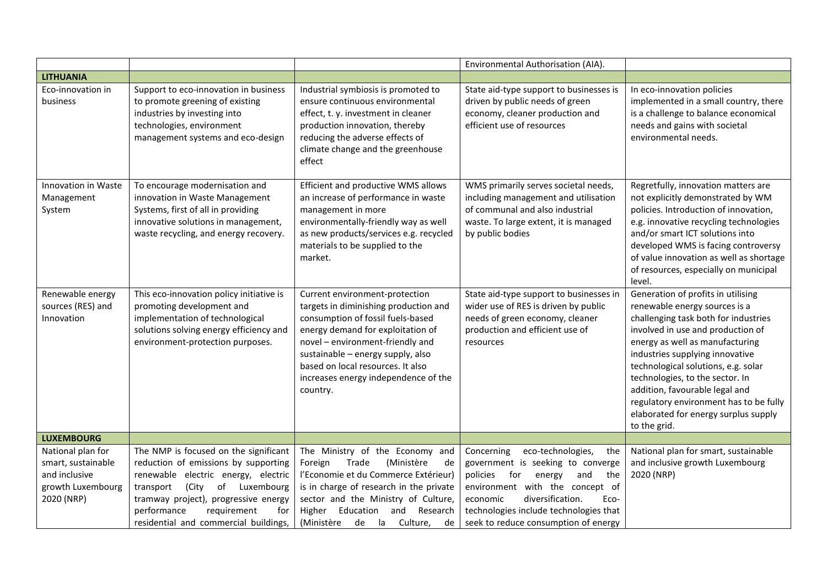|                                                                                             |                                                                                                                                                                                                                                                                                      |                                                                                                                                                                                                                                                                                                                     | Environmental Authorisation (AIA).                                                                                                                                                                                                                                                  |                                                                                                                                                                                                                                                                                                                                                                                                                                      |
|---------------------------------------------------------------------------------------------|--------------------------------------------------------------------------------------------------------------------------------------------------------------------------------------------------------------------------------------------------------------------------------------|---------------------------------------------------------------------------------------------------------------------------------------------------------------------------------------------------------------------------------------------------------------------------------------------------------------------|-------------------------------------------------------------------------------------------------------------------------------------------------------------------------------------------------------------------------------------------------------------------------------------|--------------------------------------------------------------------------------------------------------------------------------------------------------------------------------------------------------------------------------------------------------------------------------------------------------------------------------------------------------------------------------------------------------------------------------------|
| <b>LITHUANIA</b>                                                                            |                                                                                                                                                                                                                                                                                      |                                                                                                                                                                                                                                                                                                                     |                                                                                                                                                                                                                                                                                     |                                                                                                                                                                                                                                                                                                                                                                                                                                      |
| Eco-innovation in<br>business                                                               | Support to eco-innovation in business<br>to promote greening of existing<br>industries by investing into<br>technologies, environment<br>management systems and eco-design                                                                                                           | Industrial symbiosis is promoted to<br>ensure continuous environmental<br>effect, t. y. investment in cleaner<br>production innovation, thereby<br>reducing the adverse effects of<br>climate change and the greenhouse<br>effect                                                                                   | State aid-type support to businesses is<br>driven by public needs of green<br>economy, cleaner production and<br>efficient use of resources                                                                                                                                         | In eco-innovation policies<br>implemented in a small country, there<br>is a challenge to balance economical<br>needs and gains with societal<br>environmental needs.                                                                                                                                                                                                                                                                 |
| Innovation in Waste<br>Management<br>System                                                 | To encourage modernisation and<br>innovation in Waste Management<br>Systems, first of all in providing<br>innovative solutions in management,<br>waste recycling, and energy recovery.                                                                                               | Efficient and productive WMS allows<br>an increase of performance in waste<br>management in more<br>environmentally-friendly way as well<br>as new products/services e.g. recycled<br>materials to be supplied to the<br>market.                                                                                    | WMS primarily serves societal needs,<br>including management and utilisation<br>of communal and also industrial<br>waste. To large extent, it is managed<br>by public bodies                                                                                                        | Regretfully, innovation matters are<br>not explicitly demonstrated by WM<br>policies. Introduction of innovation,<br>e.g. innovative recycling technologies<br>and/or smart ICT solutions into<br>developed WMS is facing controversy<br>of value innovation as well as shortage<br>of resources, especially on municipal<br>level.                                                                                                  |
| Renewable energy<br>sources (RES) and<br>Innovation                                         | This eco-innovation policy initiative is<br>promoting development and<br>implementation of technological<br>solutions solving energy efficiency and<br>environment-protection purposes.                                                                                              | Current environment-protection<br>targets in diminishing production and<br>consumption of fossil fuels-based<br>energy demand for exploitation of<br>novel - environment-friendly and<br>sustainable - energy supply, also<br>based on local resources. It also<br>increases energy independence of the<br>country. | State aid-type support to businesses in<br>wider use of RES is driven by public<br>needs of green economy, cleaner<br>production and efficient use of<br>resources                                                                                                                  | Generation of profits in utilising<br>renewable energy sources is a<br>challenging task both for industries<br>involved in use and production of<br>energy as well as manufacturing<br>industries supplying innovative<br>technological solutions, e.g. solar<br>technologies, to the sector. In<br>addition, favourable legal and<br>regulatory environment has to be fully<br>elaborated for energy surplus supply<br>to the grid. |
| <b>LUXEMBOURG</b>                                                                           |                                                                                                                                                                                                                                                                                      |                                                                                                                                                                                                                                                                                                                     |                                                                                                                                                                                                                                                                                     |                                                                                                                                                                                                                                                                                                                                                                                                                                      |
| National plan for<br>smart, sustainable<br>and inclusive<br>growth Luxembourg<br>2020 (NRP) | The NMP is focused on the significant<br>reduction of emissions by supporting<br>renewable electric energy, electric<br>(City<br>of<br>Luxembourg<br>transport<br>tramway project), progressive energy<br>performance<br>requirement<br>for<br>residential and commercial buildings, | The Ministry of the Economy and<br>Foreign<br>Trade<br>(Ministère<br>de<br>l'Economie et du Commerce Extérieur)<br>is in charge of research in the private<br>sector and the Ministry of Culture,<br>Education<br>Research<br>Higher<br>and<br>(Ministère<br>de<br>la<br>Culture,<br>de                             | Concerning<br>eco-technologies,<br>the<br>government is seeking to converge<br>policies<br>for<br>energy<br>and<br>the<br>environment with the concept of<br>diversification.<br>economic<br>Eco-<br>technologies include technologies that<br>seek to reduce consumption of energy | National plan for smart, sustainable<br>and inclusive growth Luxembourg<br>2020 (NRP)                                                                                                                                                                                                                                                                                                                                                |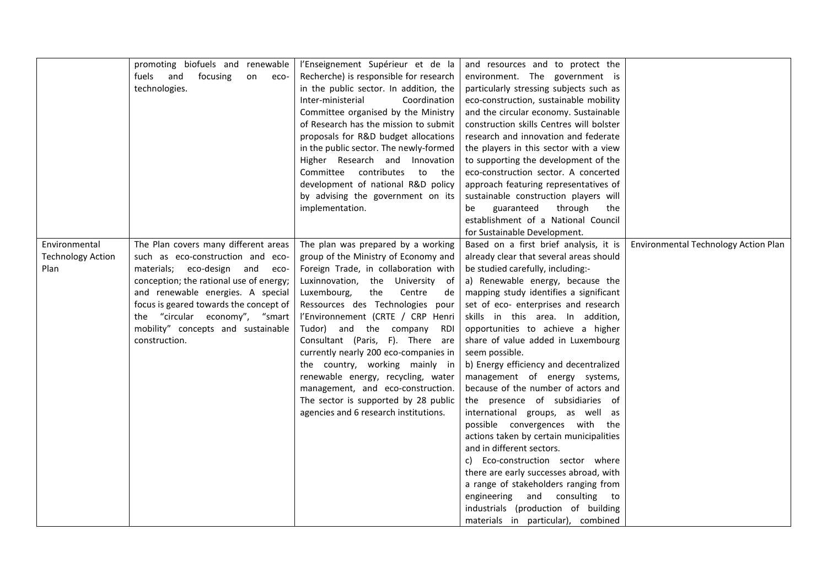|                          | promoting biofuels and renewable<br>fuels and<br>focusing<br>on<br>eco- | l'Enseignement Supérieur et de la<br>Recherche) is responsible for research | and resources and to protect the<br>environment. The government is |                                      |
|--------------------------|-------------------------------------------------------------------------|-----------------------------------------------------------------------------|--------------------------------------------------------------------|--------------------------------------|
|                          | technologies.                                                           |                                                                             |                                                                    |                                      |
|                          |                                                                         | in the public sector. In addition, the                                      | particularly stressing subjects such as                            |                                      |
|                          |                                                                         | Inter-ministerial<br>Coordination                                           | eco-construction, sustainable mobility                             |                                      |
|                          |                                                                         | Committee organised by the Ministry                                         | and the circular economy. Sustainable                              |                                      |
|                          |                                                                         | of Research has the mission to submit                                       | construction skills Centres will bolster                           |                                      |
|                          |                                                                         | proposals for R&D budget allocations                                        | research and innovation and federate                               |                                      |
|                          |                                                                         | in the public sector. The newly-formed                                      | the players in this sector with a view                             |                                      |
|                          |                                                                         | Higher Research and Innovation                                              | to supporting the development of the                               |                                      |
|                          |                                                                         | Committee contributes to the                                                | eco-construction sector. A concerted                               |                                      |
|                          |                                                                         | development of national R&D policy                                          | approach featuring representatives of                              |                                      |
|                          |                                                                         | by advising the government on its                                           | sustainable construction players will                              |                                      |
|                          |                                                                         | implementation.                                                             | guaranteed<br>through<br>be<br>the                                 |                                      |
|                          |                                                                         |                                                                             | establishment of a National Council                                |                                      |
|                          |                                                                         |                                                                             | for Sustainable Development.                                       |                                      |
| Environmental            | The Plan covers many different areas                                    | The plan was prepared by a working                                          | Based on a first brief analysis, it is                             | Environmental Technology Action Plan |
| <b>Technology Action</b> | such as eco-construction and eco-                                       | group of the Ministry of Economy and                                        | already clear that several areas should                            |                                      |
| Plan                     | materials; eco-design and eco-                                          | Foreign Trade, in collaboration with                                        | be studied carefully, including:-                                  |                                      |
|                          | conception; the rational use of energy;                                 | Luxinnovation, the University of                                            | a) Renewable energy, because the                                   |                                      |
|                          | and renewable energies. A special                                       | Luxembourg,<br>the<br>Centre<br>de                                          | mapping study identifies a significant                             |                                      |
|                          | focus is geared towards the concept of                                  | Ressources des Technologies pour                                            | set of eco- enterprises and research                               |                                      |
|                          | the "circular economy", "smart                                          | l'Environnement (CRTE / CRP Henri                                           | skills in this area. In addition,                                  |                                      |
|                          | mobility" concepts and sustainable                                      | Tudor) and the company RDI                                                  | opportunities to achieve a higher                                  |                                      |
|                          | construction.                                                           | Consultant (Paris, F). There are                                            | share of value added in Luxembourg                                 |                                      |
|                          |                                                                         | currently nearly 200 eco-companies in                                       | seem possible.                                                     |                                      |
|                          |                                                                         | the country, working mainly in                                              | b) Energy efficiency and decentralized                             |                                      |
|                          |                                                                         | renewable energy, recycling, water                                          | management of energy systems,                                      |                                      |
|                          |                                                                         | management, and eco-construction.                                           | because of the number of actors and                                |                                      |
|                          |                                                                         | The sector is supported by 28 public                                        | the presence of subsidiaries of                                    |                                      |
|                          |                                                                         | agencies and 6 research institutions.                                       | international groups, as well as                                   |                                      |
|                          |                                                                         |                                                                             | possible convergences with the                                     |                                      |
|                          |                                                                         |                                                                             | actions taken by certain municipalities                            |                                      |
|                          |                                                                         |                                                                             | and in different sectors.                                          |                                      |
|                          |                                                                         |                                                                             | Eco-construction sector where<br>C)                                |                                      |
|                          |                                                                         |                                                                             | there are early successes abroad, with                             |                                      |
|                          |                                                                         |                                                                             | a range of stakeholders ranging from                               |                                      |
|                          |                                                                         |                                                                             | engineering and consulting to                                      |                                      |
|                          |                                                                         |                                                                             | industrials (production of building                                |                                      |
|                          |                                                                         |                                                                             | materials in particular), combined                                 |                                      |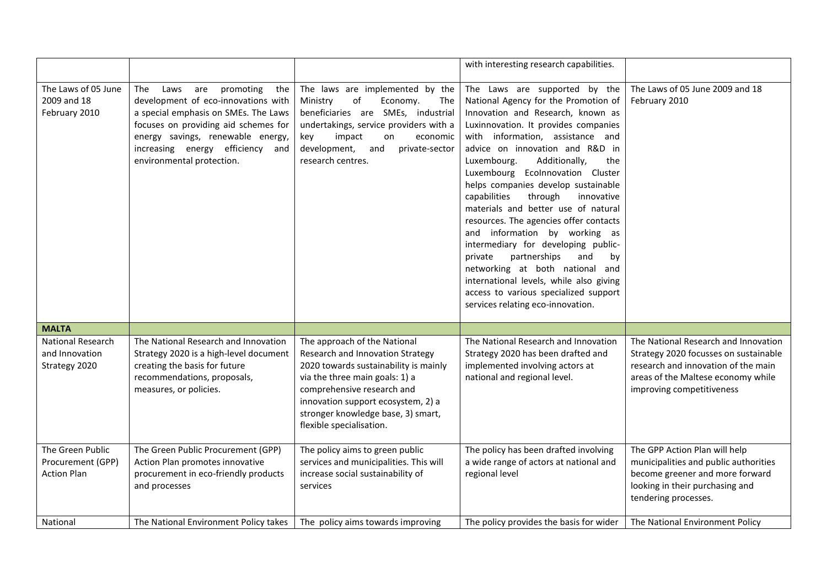|                                                             |                                                                                                                                                                                                                                                                     |                                                                                                                                                                                                                                                                                   | with interesting research capabilities.                                                                                                                                                                                                                                                                                                                                                                                                                                                                                                                                                                                                                                                                                                           |                                                                                                                                                                                         |
|-------------------------------------------------------------|---------------------------------------------------------------------------------------------------------------------------------------------------------------------------------------------------------------------------------------------------------------------|-----------------------------------------------------------------------------------------------------------------------------------------------------------------------------------------------------------------------------------------------------------------------------------|---------------------------------------------------------------------------------------------------------------------------------------------------------------------------------------------------------------------------------------------------------------------------------------------------------------------------------------------------------------------------------------------------------------------------------------------------------------------------------------------------------------------------------------------------------------------------------------------------------------------------------------------------------------------------------------------------------------------------------------------------|-----------------------------------------------------------------------------------------------------------------------------------------------------------------------------------------|
| The Laws of 05 June<br>2009 and 18<br>February 2010         | The<br>promoting<br>Laws<br>are<br>the<br>development of eco-innovations with<br>a special emphasis on SMEs. The Laws<br>focuses on providing aid schemes for<br>energy savings, renewable energy,<br>increasing energy efficiency and<br>environmental protection. | The laws are implemented by the<br>Ministry<br>of<br>Economy.<br>The<br>beneficiaries are SMEs, industrial<br>undertakings, service providers with a<br>key<br>impact<br>on<br>economic<br>development,<br>and<br>private-sector<br>research centres.                             | The Laws are supported by the<br>National Agency for the Promotion of<br>Innovation and Research, known as<br>Luxinnovation. It provides companies<br>with information, assistance and<br>advice on innovation and R&D in<br>Luxembourg.<br>Additionally,<br>the<br>Luxembourg Ecolnnovation Cluster<br>helps companies develop sustainable<br>capabilities<br>through<br>innovative<br>materials and better use of natural<br>resources. The agencies offer contacts<br>and information by working as<br>intermediary for developing public-<br>partnerships<br>and<br>private<br>by<br>networking at both national and<br>international levels, while also giving<br>access to various specialized support<br>services relating eco-innovation. | The Laws of 05 June 2009 and 18<br>February 2010                                                                                                                                        |
| <b>MALTA</b>                                                |                                                                                                                                                                                                                                                                     |                                                                                                                                                                                                                                                                                   |                                                                                                                                                                                                                                                                                                                                                                                                                                                                                                                                                                                                                                                                                                                                                   |                                                                                                                                                                                         |
| National Research<br>and Innovation<br>Strategy 2020        | The National Research and Innovation<br>Strategy 2020 is a high-level document<br>creating the basis for future<br>recommendations, proposals,<br>measures, or policies.                                                                                            | The approach of the National<br>Research and Innovation Strategy<br>2020 towards sustainability is mainly<br>via the three main goals: 1) a<br>comprehensive research and<br>innovation support ecosystem, 2) a<br>stronger knowledge base, 3) smart,<br>flexible specialisation. | The National Research and Innovation<br>Strategy 2020 has been drafted and<br>implemented involving actors at<br>national and regional level.                                                                                                                                                                                                                                                                                                                                                                                                                                                                                                                                                                                                     | The National Research and Innovation<br>Strategy 2020 focusses on sustainable<br>research and innovation of the main<br>areas of the Maltese economy while<br>improving competitiveness |
| The Green Public<br>Procurement (GPP)<br><b>Action Plan</b> | The Green Public Procurement (GPP)<br>Action Plan promotes innovative<br>procurement in eco-friendly products<br>and processes                                                                                                                                      | The policy aims to green public<br>services and municipalities. This will<br>increase social sustainability of<br>services                                                                                                                                                        | The policy has been drafted involving<br>a wide range of actors at national and<br>regional level                                                                                                                                                                                                                                                                                                                                                                                                                                                                                                                                                                                                                                                 | The GPP Action Plan will help<br>municipalities and public authorities<br>become greener and more forward<br>looking in their purchasing and<br>tendering processes.                    |
| National                                                    | The National Environment Policy takes                                                                                                                                                                                                                               | The policy aims towards improving                                                                                                                                                                                                                                                 | The policy provides the basis for wider                                                                                                                                                                                                                                                                                                                                                                                                                                                                                                                                                                                                                                                                                                           | The National Environment Policy                                                                                                                                                         |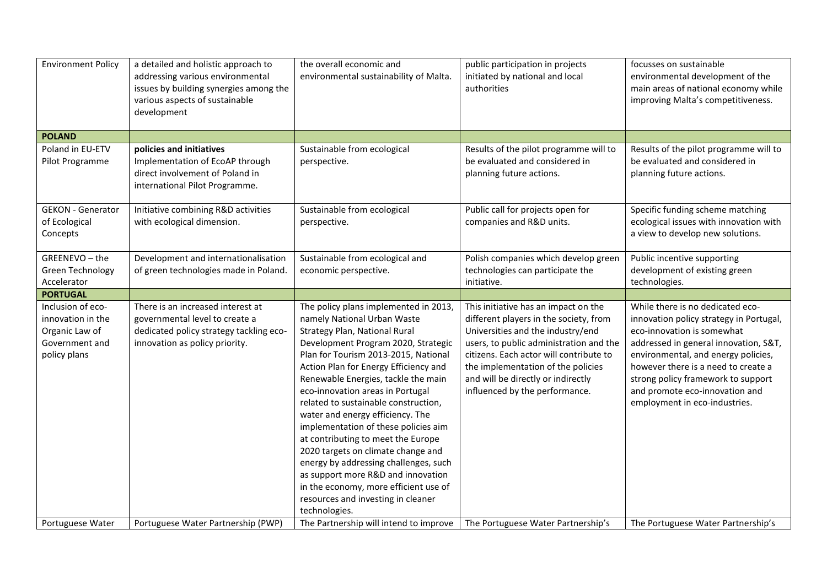| <b>Environment Policy</b>                                                                  | a detailed and holistic approach to<br>addressing various environmental<br>issues by building synergies among the<br>various aspects of sustainable<br>development | the overall economic and<br>environmental sustainability of Malta.                                                                                                                                                                                                                                                                                                                                                                                                                                                                                                                                                                                                                      | public participation in projects<br>initiated by national and local<br>authorities                                                                                                                                                                                                                                      | focusses on sustainable<br>environmental development of the<br>main areas of national economy while<br>improving Malta's competitiveness.                                                                                                                                                                                                 |
|--------------------------------------------------------------------------------------------|--------------------------------------------------------------------------------------------------------------------------------------------------------------------|-----------------------------------------------------------------------------------------------------------------------------------------------------------------------------------------------------------------------------------------------------------------------------------------------------------------------------------------------------------------------------------------------------------------------------------------------------------------------------------------------------------------------------------------------------------------------------------------------------------------------------------------------------------------------------------------|-------------------------------------------------------------------------------------------------------------------------------------------------------------------------------------------------------------------------------------------------------------------------------------------------------------------------|-------------------------------------------------------------------------------------------------------------------------------------------------------------------------------------------------------------------------------------------------------------------------------------------------------------------------------------------|
| <b>POLAND</b>                                                                              |                                                                                                                                                                    |                                                                                                                                                                                                                                                                                                                                                                                                                                                                                                                                                                                                                                                                                         |                                                                                                                                                                                                                                                                                                                         |                                                                                                                                                                                                                                                                                                                                           |
| Poland in EU-ETV<br>Pilot Programme                                                        | policies and initiatives<br>Implementation of EcoAP through<br>direct involvement of Poland in<br>international Pilot Programme.                                   | Sustainable from ecological<br>perspective.                                                                                                                                                                                                                                                                                                                                                                                                                                                                                                                                                                                                                                             | Results of the pilot programme will to<br>be evaluated and considered in<br>planning future actions.                                                                                                                                                                                                                    | Results of the pilot programme will to<br>be evaluated and considered in<br>planning future actions.                                                                                                                                                                                                                                      |
| <b>GEKON - Generator</b><br>of Ecological<br>Concepts                                      | Initiative combining R&D activities<br>with ecological dimension.                                                                                                  | Sustainable from ecological<br>perspective.                                                                                                                                                                                                                                                                                                                                                                                                                                                                                                                                                                                                                                             | Public call for projects open for<br>companies and R&D units.                                                                                                                                                                                                                                                           | Specific funding scheme matching<br>ecological issues with innovation with<br>a view to develop new solutions.                                                                                                                                                                                                                            |
| GREENEVO-the<br><b>Green Technology</b><br>Accelerator                                     | Development and internationalisation<br>of green technologies made in Poland.                                                                                      | Sustainable from ecological and<br>economic perspective.                                                                                                                                                                                                                                                                                                                                                                                                                                                                                                                                                                                                                                | Polish companies which develop green<br>technologies can participate the<br>initiative.                                                                                                                                                                                                                                 | Public incentive supporting<br>development of existing green<br>technologies.                                                                                                                                                                                                                                                             |
| <b>PORTUGAL</b>                                                                            |                                                                                                                                                                    |                                                                                                                                                                                                                                                                                                                                                                                                                                                                                                                                                                                                                                                                                         |                                                                                                                                                                                                                                                                                                                         |                                                                                                                                                                                                                                                                                                                                           |
| Inclusion of eco-<br>innovation in the<br>Organic Law of<br>Government and<br>policy plans | There is an increased interest at<br>governmental level to create a<br>dedicated policy strategy tackling eco-<br>innovation as policy priority.                   | The policy plans implemented in 2013,<br>namely National Urban Waste<br>Strategy Plan, National Rural<br>Development Program 2020, Strategic<br>Plan for Tourism 2013-2015, National<br>Action Plan for Energy Efficiency and<br>Renewable Energies, tackle the main<br>eco-innovation areas in Portugal<br>related to sustainable construction,<br>water and energy efficiency. The<br>implementation of these policies aim<br>at contributing to meet the Europe<br>2020 targets on climate change and<br>energy by addressing challenges, such<br>as support more R&D and innovation<br>in the economy, more efficient use of<br>resources and investing in cleaner<br>technologies. | This initiative has an impact on the<br>different players in the society, from<br>Universities and the industry/end<br>users, to public administration and the<br>citizens. Each actor will contribute to<br>the implementation of the policies<br>and will be directly or indirectly<br>influenced by the performance. | While there is no dedicated eco-<br>innovation policy strategy in Portugal,<br>eco-innovation is somewhat<br>addressed in general innovation, S&T,<br>environmental, and energy policies,<br>however there is a need to create a<br>strong policy framework to support<br>and promote eco-innovation and<br>employment in eco-industries. |
| Portuguese Water                                                                           | Portuguese Water Partnership (PWP)                                                                                                                                 | The Partnership will intend to improve                                                                                                                                                                                                                                                                                                                                                                                                                                                                                                                                                                                                                                                  | The Portuguese Water Partnership's                                                                                                                                                                                                                                                                                      | The Portuguese Water Partnership's                                                                                                                                                                                                                                                                                                        |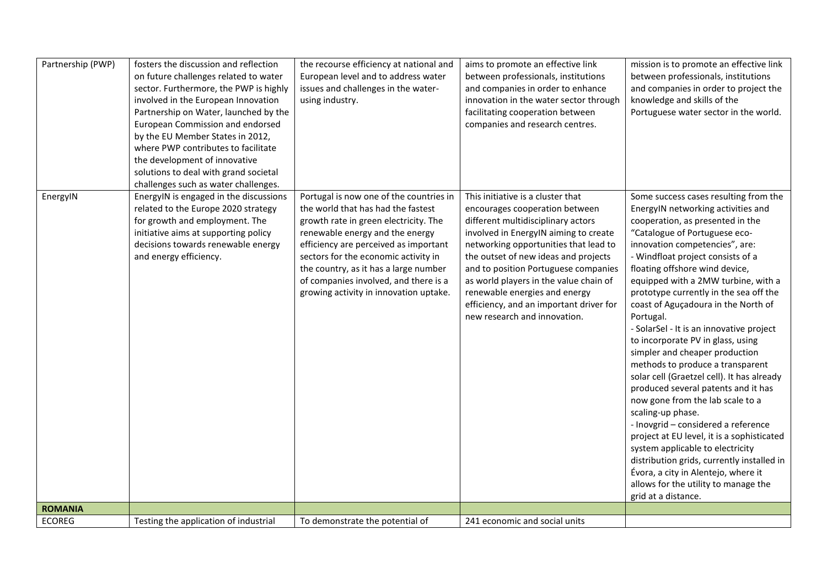| Partnership (PWP) | fosters the discussion and reflection<br>on future challenges related to water<br>sector. Furthermore, the PWP is highly<br>involved in the European Innovation<br>Partnership on Water, launched by the<br>European Commission and endorsed<br>by the EU Member States in 2012,<br>where PWP contributes to facilitate<br>the development of innovative<br>solutions to deal with grand societal<br>challenges such as water challenges. | the recourse efficiency at national and<br>European level and to address water<br>issues and challenges in the water-<br>using industry.                                                                                                                                                                                                                               | aims to promote an effective link<br>between professionals, institutions<br>and companies in order to enhance<br>innovation in the water sector through<br>facilitating cooperation between<br>companies and research centres.                                                                                                                                                                                                    | mission is to promote an effective link<br>between professionals, institutions<br>and companies in order to project the<br>knowledge and skills of the<br>Portuguese water sector in the world.                                                                                                                                                                                                                                                                                                                                                                                                                                                                                                                                                                                                                                                                                                                                                                                  |
|-------------------|-------------------------------------------------------------------------------------------------------------------------------------------------------------------------------------------------------------------------------------------------------------------------------------------------------------------------------------------------------------------------------------------------------------------------------------------|------------------------------------------------------------------------------------------------------------------------------------------------------------------------------------------------------------------------------------------------------------------------------------------------------------------------------------------------------------------------|-----------------------------------------------------------------------------------------------------------------------------------------------------------------------------------------------------------------------------------------------------------------------------------------------------------------------------------------------------------------------------------------------------------------------------------|----------------------------------------------------------------------------------------------------------------------------------------------------------------------------------------------------------------------------------------------------------------------------------------------------------------------------------------------------------------------------------------------------------------------------------------------------------------------------------------------------------------------------------------------------------------------------------------------------------------------------------------------------------------------------------------------------------------------------------------------------------------------------------------------------------------------------------------------------------------------------------------------------------------------------------------------------------------------------------|
| EnergyIN          | EnergyIN is engaged in the discussions<br>related to the Europe 2020 strategy<br>for growth and employment. The<br>initiative aims at supporting policy<br>decisions towards renewable energy<br>and energy efficiency.                                                                                                                                                                                                                   | Portugal is now one of the countries in<br>the world that has had the fastest<br>growth rate in green electricity. The<br>renewable energy and the energy<br>efficiency are perceived as important<br>sectors for the economic activity in<br>the country, as it has a large number<br>of companies involved, and there is a<br>growing activity in innovation uptake. | This initiative is a cluster that<br>encourages cooperation between<br>different multidisciplinary actors<br>involved in EnergyIN aiming to create<br>networking opportunities that lead to<br>the outset of new ideas and projects<br>and to position Portuguese companies<br>as world players in the value chain of<br>renewable energies and energy<br>efficiency, and an important driver for<br>new research and innovation. | Some success cases resulting from the<br>EnergyIN networking activities and<br>cooperation, as presented in the<br>"Catalogue of Portuguese eco-<br>innovation competencies", are:<br>- Windfloat project consists of a<br>floating offshore wind device,<br>equipped with a 2MW turbine, with a<br>prototype currently in the sea off the<br>coast of Aguçadoura in the North of<br>Portugal.<br>- SolarSel - It is an innovative project<br>to incorporate PV in glass, using<br>simpler and cheaper production<br>methods to produce a transparent<br>solar cell (Graetzel cell). It has already<br>produced several patents and it has<br>now gone from the lab scale to a<br>scaling-up phase.<br>- Inovgrid - considered a reference<br>project at EU level, it is a sophisticated<br>system applicable to electricity<br>distribution grids, currently installed in<br>Évora, a city in Alentejo, where it<br>allows for the utility to manage the<br>grid at a distance. |
| <b>ROMANIA</b>    |                                                                                                                                                                                                                                                                                                                                                                                                                                           |                                                                                                                                                                                                                                                                                                                                                                        |                                                                                                                                                                                                                                                                                                                                                                                                                                   |                                                                                                                                                                                                                                                                                                                                                                                                                                                                                                                                                                                                                                                                                                                                                                                                                                                                                                                                                                                  |
| <b>ECOREG</b>     | Testing the application of industrial                                                                                                                                                                                                                                                                                                                                                                                                     | To demonstrate the potential of                                                                                                                                                                                                                                                                                                                                        | 241 economic and social units                                                                                                                                                                                                                                                                                                                                                                                                     |                                                                                                                                                                                                                                                                                                                                                                                                                                                                                                                                                                                                                                                                                                                                                                                                                                                                                                                                                                                  |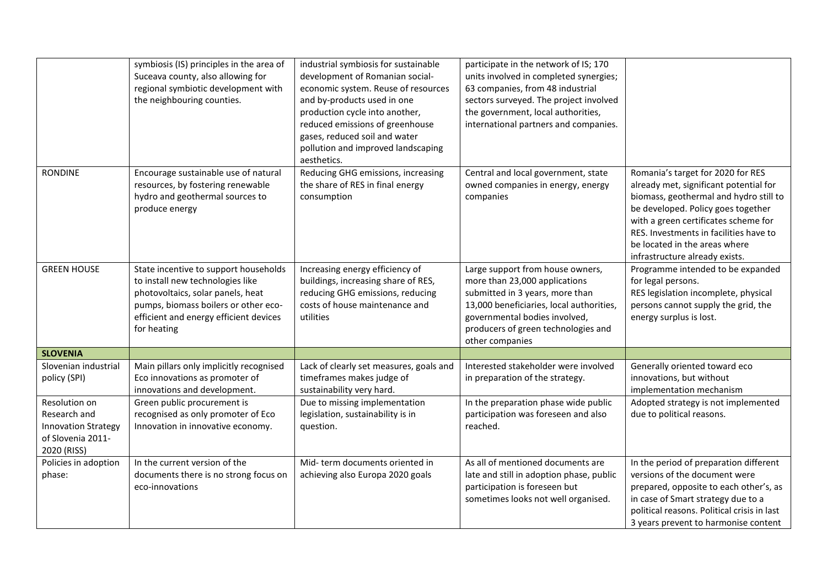|                                                                                                 | symbiosis (IS) principles in the area of<br>Suceava county, also allowing for<br>regional symbiotic development with<br>the neighbouring counties.                                                              | industrial symbiosis for sustainable<br>development of Romanian social-<br>economic system. Reuse of resources<br>and by-products used in one<br>production cycle into another,<br>reduced emissions of greenhouse<br>gases, reduced soil and water<br>pollution and improved landscaping<br>aesthetics. | participate in the network of IS; 170<br>units involved in completed synergies;<br>63 companies, from 48 industrial<br>sectors surveyed. The project involved<br>the government, local authorities,<br>international partners and companies. |                                                                                                                                                                                                                                                                                                                  |
|-------------------------------------------------------------------------------------------------|-----------------------------------------------------------------------------------------------------------------------------------------------------------------------------------------------------------------|----------------------------------------------------------------------------------------------------------------------------------------------------------------------------------------------------------------------------------------------------------------------------------------------------------|----------------------------------------------------------------------------------------------------------------------------------------------------------------------------------------------------------------------------------------------|------------------------------------------------------------------------------------------------------------------------------------------------------------------------------------------------------------------------------------------------------------------------------------------------------------------|
| <b>RONDINE</b>                                                                                  | Encourage sustainable use of natural<br>resources, by fostering renewable<br>hydro and geothermal sources to<br>produce energy                                                                                  | Reducing GHG emissions, increasing<br>the share of RES in final energy<br>consumption                                                                                                                                                                                                                    | Central and local government, state<br>owned companies in energy, energy<br>companies                                                                                                                                                        | Romania's target for 2020 for RES<br>already met, significant potential for<br>biomass, geothermal and hydro still to<br>be developed. Policy goes together<br>with a green certificates scheme for<br>RES. Investments in facilities have to<br>be located in the areas where<br>infrastructure already exists. |
| <b>GREEN HOUSE</b>                                                                              | State incentive to support households<br>to install new technologies like<br>photovoltaics, solar panels, heat<br>pumps, biomass boilers or other eco-<br>efficient and energy efficient devices<br>for heating | Increasing energy efficiency of<br>buildings, increasing share of RES,<br>reducing GHG emissions, reducing<br>costs of house maintenance and<br>utilities                                                                                                                                                | Large support from house owners,<br>more than 23,000 applications<br>submitted in 3 years, more than<br>13,000 beneficiaries, local authorities,<br>governmental bodies involved,<br>producers of green technologies and<br>other companies  | Programme intended to be expanded<br>for legal persons.<br>RES legislation incomplete, physical<br>persons cannot supply the grid, the<br>energy surplus is lost.                                                                                                                                                |
| <b>SLOVENIA</b>                                                                                 |                                                                                                                                                                                                                 |                                                                                                                                                                                                                                                                                                          |                                                                                                                                                                                                                                              |                                                                                                                                                                                                                                                                                                                  |
| Slovenian industrial<br>policy (SPI)                                                            | Main pillars only implicitly recognised<br>Eco innovations as promoter of<br>innovations and development.                                                                                                       | Lack of clearly set measures, goals and<br>timeframes makes judge of<br>sustainability very hard.                                                                                                                                                                                                        | Interested stakeholder were involved<br>in preparation of the strategy.                                                                                                                                                                      | Generally oriented toward eco<br>innovations, but without<br>implementation mechanism                                                                                                                                                                                                                            |
| Resolution on<br>Research and<br><b>Innovation Strategy</b><br>of Slovenia 2011-<br>2020 (RISS) | Green public procurement is<br>recognised as only promoter of Eco<br>Innovation in innovative economy.                                                                                                          | Due to missing implementation<br>legislation, sustainability is in<br>question.                                                                                                                                                                                                                          | In the preparation phase wide public<br>participation was foreseen and also<br>reached.                                                                                                                                                      | Adopted strategy is not implemented<br>due to political reasons.                                                                                                                                                                                                                                                 |
| Policies in adoption<br>phase:                                                                  | In the current version of the<br>documents there is no strong focus on<br>eco-innovations                                                                                                                       | Mid-term documents oriented in<br>achieving also Europa 2020 goals                                                                                                                                                                                                                                       | As all of mentioned documents are<br>late and still in adoption phase, public<br>participation is foreseen but<br>sometimes looks not well organised.                                                                                        | In the period of preparation different<br>versions of the document were<br>prepared, opposite to each other's, as<br>in case of Smart strategy due to a<br>political reasons. Political crisis in last<br>3 years prevent to harmonise content                                                                   |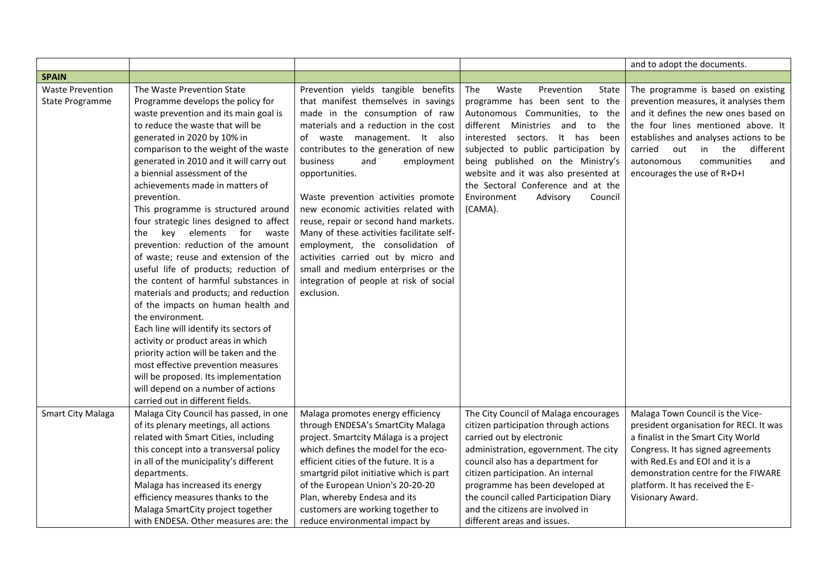|                                                   |                                                                                                                                                                                                                                                                                                                                                                                                                                                                                                                                                                                                                                                                                                                                                                                                                                                                                                                                                                                                                                |                                                                                                                                                                                                                                                                                                                                                                                                                                                                                                                                                                                                                                  |                                                                                                                                                                                                                                                                                                                                                                                                 | and to adopt the documents.                                                                                                                                                                                                                                                                                  |
|---------------------------------------------------|--------------------------------------------------------------------------------------------------------------------------------------------------------------------------------------------------------------------------------------------------------------------------------------------------------------------------------------------------------------------------------------------------------------------------------------------------------------------------------------------------------------------------------------------------------------------------------------------------------------------------------------------------------------------------------------------------------------------------------------------------------------------------------------------------------------------------------------------------------------------------------------------------------------------------------------------------------------------------------------------------------------------------------|----------------------------------------------------------------------------------------------------------------------------------------------------------------------------------------------------------------------------------------------------------------------------------------------------------------------------------------------------------------------------------------------------------------------------------------------------------------------------------------------------------------------------------------------------------------------------------------------------------------------------------|-------------------------------------------------------------------------------------------------------------------------------------------------------------------------------------------------------------------------------------------------------------------------------------------------------------------------------------------------------------------------------------------------|--------------------------------------------------------------------------------------------------------------------------------------------------------------------------------------------------------------------------------------------------------------------------------------------------------------|
| <b>SPAIN</b>                                      |                                                                                                                                                                                                                                                                                                                                                                                                                                                                                                                                                                                                                                                                                                                                                                                                                                                                                                                                                                                                                                |                                                                                                                                                                                                                                                                                                                                                                                                                                                                                                                                                                                                                                  |                                                                                                                                                                                                                                                                                                                                                                                                 |                                                                                                                                                                                                                                                                                                              |
| <b>Waste Prevention</b><br><b>State Programme</b> | The Waste Prevention State<br>Programme develops the policy for<br>waste prevention and its main goal is<br>to reduce the waste that will be<br>generated in 2020 by 10% in<br>comparison to the weight of the waste<br>generated in 2010 and it will carry out<br>a biennial assessment of the<br>achievements made in matters of<br>prevention.<br>This programme is structured around<br>four strategic lines designed to affect<br>elements for<br>kev<br>waste<br>the<br>prevention: reduction of the amount<br>of waste; reuse and extension of the<br>useful life of products; reduction of<br>the content of harmful substances in<br>materials and products; and reduction<br>of the impacts on human health and<br>the environment.<br>Each line will identify its sectors of<br>activity or product areas in which<br>priority action will be taken and the<br>most effective prevention measures<br>will be proposed. Its implementation<br>will depend on a number of actions<br>carried out in different fields. | Prevention yields tangible benefits<br>that manifest themselves in savings<br>made in the consumption of raw<br>materials and a reduction in the cost<br>of waste management. It also<br>contributes to the generation of new<br>business<br>and<br>employment<br>opportunities.<br>Waste prevention activities promote<br>new economic activities related with<br>reuse, repair or second hand markets.<br>Many of these activities facilitate self-<br>employment, the consolidation of<br>activities carried out by micro and<br>small and medium enterprises or the<br>integration of people at risk of social<br>exclusion. | Waste<br>Prevention<br>State<br>The<br>programme has been sent to the<br>Autonomous Communities, to the<br>different Ministries and<br>to<br>the<br>interested sectors. It has been<br>subjected to public participation by<br>being published on the Ministry's<br>website and it was also presented at<br>the Sectoral Conference and at the<br>Environment<br>Advisory<br>Council<br>(CAMA). | The programme is based on existing<br>prevention measures, it analyses them<br>and it defines the new ones based on<br>the four lines mentioned above. It<br>establishes and analyses actions to be<br>in the different<br>carried<br>out<br>communities<br>autonomous<br>and<br>encourages the use of R+D+I |
| <b>Smart City Malaga</b>                          | Malaga City Council has passed, in one<br>of its plenary meetings, all actions<br>related with Smart Cities, including<br>this concept into a transversal policy<br>in all of the municipality's different<br>departments.<br>Malaga has increased its energy<br>efficiency measures thanks to the<br>Malaga SmartCity project together<br>with ENDESA. Other measures are: the                                                                                                                                                                                                                                                                                                                                                                                                                                                                                                                                                                                                                                                | Malaga promotes energy efficiency<br>through ENDESA's SmartCity Malaga<br>project. Smartcity Málaga is a project<br>which defines the model for the eco-<br>efficient cities of the future. It is a<br>smartgrid pilot initiative which is part<br>of the European Union's 20-20-20<br>Plan, whereby Endesa and its<br>customers are working together to<br>reduce environmental impact by                                                                                                                                                                                                                                       | The City Council of Malaga encourages<br>citizen participation through actions<br>carried out by electronic<br>administration, egovernment. The city<br>council also has a department for<br>citizen participation. An internal<br>programme has been developed at<br>the council called Participation Diary<br>and the citizens are involved in<br>different areas and issues.                 | Malaga Town Council is the Vice-<br>president organisation for RECI. It was<br>a finalist in the Smart City World<br>Congress. It has signed agreements<br>with Red.Es and EOI and it is a<br>demonstration centre for the FIWARE<br>platform. It has received the E-<br>Visionary Award.                    |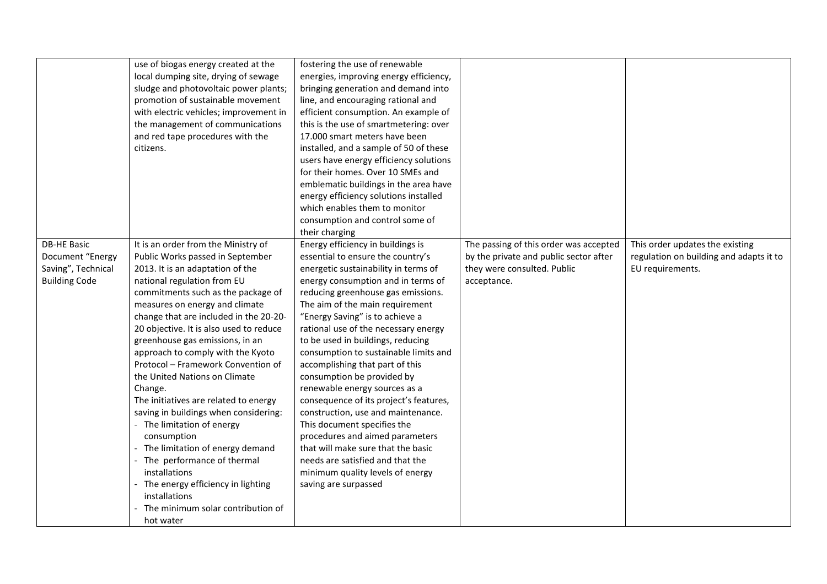|                                                                                      | use of biogas energy created at the<br>local dumping site, drying of sewage<br>sludge and photovoltaic power plants;<br>promotion of sustainable movement<br>with electric vehicles; improvement in<br>the management of communications<br>and red tape procedures with the<br>citizens.                                                                                                                                                                                                                                                                                                                                                                                                                                                                                                     | fostering the use of renewable<br>energies, improving energy efficiency,<br>bringing generation and demand into<br>line, and encouraging rational and<br>efficient consumption. An example of<br>this is the use of smartmetering: over<br>17.000 smart meters have been<br>installed, and a sample of 50 of these<br>users have energy efficiency solutions<br>for their homes. Over 10 SMEs and                                                                                                                                                                                                                                                                                                                                                                                |                                                                                                                                |                                                                                                |
|--------------------------------------------------------------------------------------|----------------------------------------------------------------------------------------------------------------------------------------------------------------------------------------------------------------------------------------------------------------------------------------------------------------------------------------------------------------------------------------------------------------------------------------------------------------------------------------------------------------------------------------------------------------------------------------------------------------------------------------------------------------------------------------------------------------------------------------------------------------------------------------------|----------------------------------------------------------------------------------------------------------------------------------------------------------------------------------------------------------------------------------------------------------------------------------------------------------------------------------------------------------------------------------------------------------------------------------------------------------------------------------------------------------------------------------------------------------------------------------------------------------------------------------------------------------------------------------------------------------------------------------------------------------------------------------|--------------------------------------------------------------------------------------------------------------------------------|------------------------------------------------------------------------------------------------|
|                                                                                      |                                                                                                                                                                                                                                                                                                                                                                                                                                                                                                                                                                                                                                                                                                                                                                                              | emblematic buildings in the area have<br>energy efficiency solutions installed<br>which enables them to monitor<br>consumption and control some of<br>their charging                                                                                                                                                                                                                                                                                                                                                                                                                                                                                                                                                                                                             |                                                                                                                                |                                                                                                |
| <b>DB-HE Basic</b><br>Document "Energy<br>Saving", Technical<br><b>Building Code</b> | It is an order from the Ministry of<br>Public Works passed in September<br>2013. It is an adaptation of the<br>national regulation from EU<br>commitments such as the package of<br>measures on energy and climate<br>change that are included in the 20-20-<br>20 objective. It is also used to reduce<br>greenhouse gas emissions, in an<br>approach to comply with the Kyoto<br>Protocol - Framework Convention of<br>the United Nations on Climate<br>Change.<br>The initiatives are related to energy<br>saving in buildings when considering:<br>- The limitation of energy<br>consumption<br>- The limitation of energy demand<br>The performance of thermal<br>installations<br>The energy efficiency in lighting<br>installations<br>The minimum solar contribution of<br>hot water | Energy efficiency in buildings is<br>essential to ensure the country's<br>energetic sustainability in terms of<br>energy consumption and in terms of<br>reducing greenhouse gas emissions.<br>The aim of the main requirement<br>"Energy Saving" is to achieve a<br>rational use of the necessary energy<br>to be used in buildings, reducing<br>consumption to sustainable limits and<br>accomplishing that part of this<br>consumption be provided by<br>renewable energy sources as a<br>consequence of its project's features,<br>construction, use and maintenance.<br>This document specifies the<br>procedures and aimed parameters<br>that will make sure that the basic<br>needs are satisfied and that the<br>minimum quality levels of energy<br>saving are surpassed | The passing of this order was accepted<br>by the private and public sector after<br>they were consulted. Public<br>acceptance. | This order updates the existing<br>regulation on building and adapts it to<br>EU requirements. |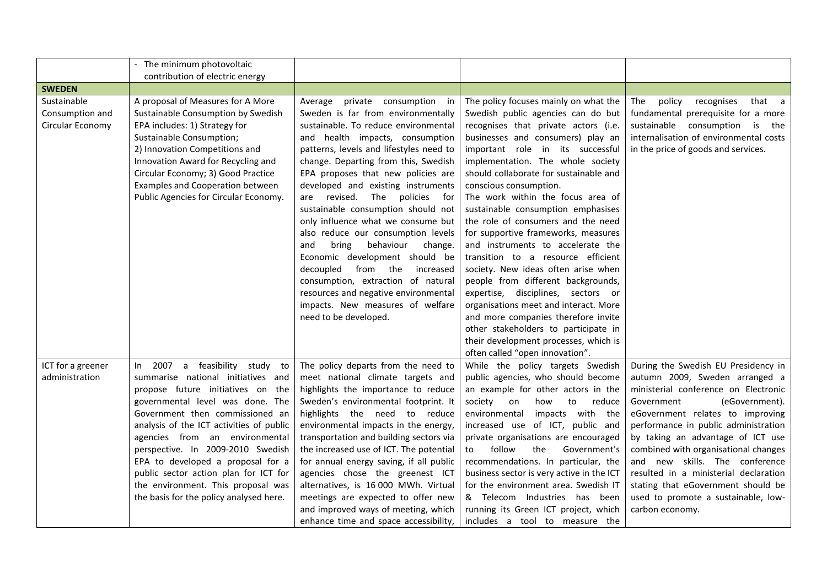|                   | The minimum photovoltaic                 |                                         |                                           |                                        |
|-------------------|------------------------------------------|-----------------------------------------|-------------------------------------------|----------------------------------------|
| <b>SWEDEN</b>     | contribution of electric energy          |                                         |                                           |                                        |
| Sustainable       | A proposal of Measures for A More        | Average private consumption in          | The policy focuses mainly on what the     | The<br>policy<br>recognises<br>that a  |
| Consumption and   | Sustainable Consumption by Swedish       | Sweden is far from environmentally      | Swedish public agencies can do but        | fundamental prerequisite for a more    |
| Circular Economy  | EPA includes: 1) Strategy for            | sustainable. To reduce environmental    | recognises that private actors (i.e.      | sustainable consumption is the         |
|                   | Sustainable Consumption;                 | and health impacts, consumption         | businesses and consumers) play an         | internalisation of environmental costs |
|                   | 2) Innovation Competitions and           | patterns, levels and lifestyles need to | important role in its successful          | in the price of goods and services.    |
|                   | Innovation Award for Recycling and       | change. Departing from this, Swedish    | implementation. The whole society         |                                        |
|                   | Circular Economy; 3) Good Practice       | EPA proposes that new policies are      | should collaborate for sustainable and    |                                        |
|                   | Examples and Cooperation between         | developed and existing instruments      | conscious consumption.                    |                                        |
|                   | Public Agencies for Circular Economy.    | revised. The policies for<br>are        | The work within the focus area of         |                                        |
|                   |                                          | sustainable consumption should not      | sustainable consumption emphasises        |                                        |
|                   |                                          | only influence what we consume but      | the role of consumers and the need        |                                        |
|                   |                                          | also reduce our consumption levels      | for supportive frameworks, measures       |                                        |
|                   |                                          | behaviour<br>and<br>bring<br>change.    | and instruments to accelerate the         |                                        |
|                   |                                          | Economic development should be          | transition to a resource efficient        |                                        |
|                   |                                          | decoupled from the<br>increased         | society. New ideas often arise when       |                                        |
|                   |                                          | consumption, extraction of natural      | people from different backgrounds,        |                                        |
|                   |                                          | resources and negative environmental    | expertise, disciplines, sectors or        |                                        |
|                   |                                          | impacts. New measures of welfare        | organisations meet and interact. More     |                                        |
|                   |                                          | need to be developed.                   | and more companies therefore invite       |                                        |
|                   |                                          |                                         | other stakeholders to participate in      |                                        |
|                   |                                          |                                         | their development processes, which is     |                                        |
|                   |                                          |                                         | often called "open innovation".           |                                        |
| ICT for a greener | 2007 a feasibility study to<br>In In     | The policy departs from the need to     | While the policy targets Swedish          | During the Swedish EU Presidency in    |
| administration    | summarise national initiatives and       | meet national climate targets and       | public agencies, who should become        | autumn 2009, Sweden arranged a         |
|                   | propose future initiatives on the        | highlights the importance to reduce     | an example for other actors in the        | ministerial conference on Electronic   |
|                   | governmental level was done. The         | Sweden's environmental footprint. It    | society<br>how<br>reduce<br>on<br>to      | (eGovernment).<br>Government           |
|                   | Government then commissioned an          | highlights the need to reduce           | environmental<br>impacts with the         | eGovernment relates to improving       |
|                   | analysis of the ICT activities of public | environmental impacts in the energy,    | increased use of ICT, public and          | performance in public administration   |
|                   | agencies from an environmental           | transportation and building sectors via | private organisations are encouraged      | by taking an advantage of ICT use      |
|                   | perspective. In 2009-2010 Swedish        | the increased use of ICT. The potential | follow<br>the<br>Government's<br>to       | combined with organisational changes   |
|                   | EPA to developed a proposal for a        | for annual energy saving, if all public | recommendations. In particular, the       | and new skills. The conference         |
|                   | public sector action plan for ICT for    | agencies chose the greenest ICT         | business sector is very active in the ICT | resulted in a ministerial declaration  |
|                   | the environment. This proposal was       | alternatives, is 16 000 MWh. Virtual    | for the environment area. Swedish IT      | stating that eGovernment should be     |
|                   | the basis for the policy analysed here.  | meetings are expected to offer new      | & Telecom Industries has been             | used to promote a sustainable, low-    |
|                   |                                          | and improved ways of meeting, which     | running its Green ICT project, which      | carbon economy.                        |
|                   |                                          | enhance time and space accessibility,   | includes a tool to measure the            |                                        |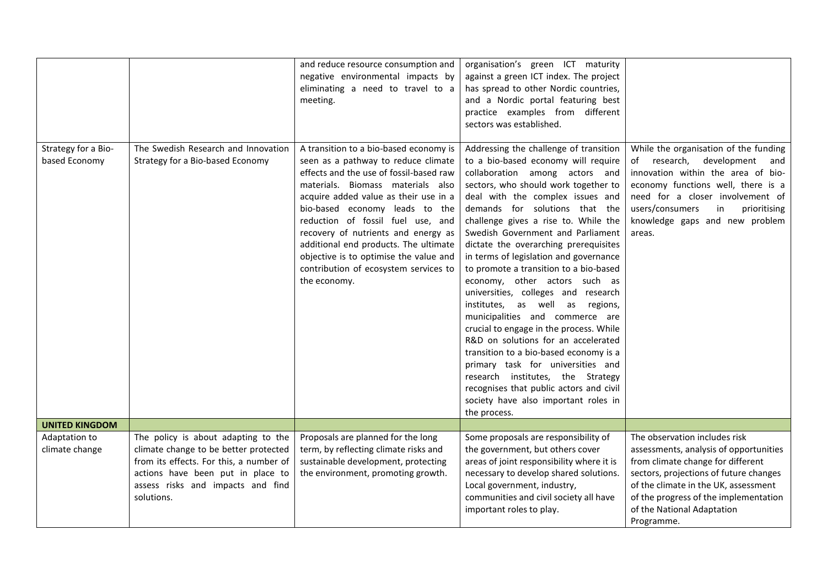|                                      |                                                                                                                                                                                                                 | and reduce resource consumption and<br>negative environmental impacts by<br>eliminating a need to travel to a<br>meeting.                                                                                                                                                                                                                                                                                                                                        | organisation's green ICT maturity<br>against a green ICT index. The project<br>has spread to other Nordic countries,<br>and a Nordic portal featuring best<br>practice examples from different<br>sectors was established.                                                                                                                                                                                                                                                                                                                                                                                                                                                                                                                                                                                                                                                                     |                                                                                                                                                                                                                                                                                     |
|--------------------------------------|-----------------------------------------------------------------------------------------------------------------------------------------------------------------------------------------------------------------|------------------------------------------------------------------------------------------------------------------------------------------------------------------------------------------------------------------------------------------------------------------------------------------------------------------------------------------------------------------------------------------------------------------------------------------------------------------|------------------------------------------------------------------------------------------------------------------------------------------------------------------------------------------------------------------------------------------------------------------------------------------------------------------------------------------------------------------------------------------------------------------------------------------------------------------------------------------------------------------------------------------------------------------------------------------------------------------------------------------------------------------------------------------------------------------------------------------------------------------------------------------------------------------------------------------------------------------------------------------------|-------------------------------------------------------------------------------------------------------------------------------------------------------------------------------------------------------------------------------------------------------------------------------------|
| Strategy for a Bio-<br>based Economy | The Swedish Research and Innovation<br>Strategy for a Bio-based Economy                                                                                                                                         | A transition to a bio-based economy is<br>seen as a pathway to reduce climate<br>effects and the use of fossil-based raw<br>materials. Biomass materials also<br>acquire added value as their use in a<br>bio-based economy leads to the<br>reduction of fossil fuel use, and<br>recovery of nutrients and energy as<br>additional end products. The ultimate<br>objective is to optimise the value and<br>contribution of ecosystem services to<br>the economy. | Addressing the challenge of transition<br>to a bio-based economy will require<br>collaboration among actors and<br>sectors, who should work together to<br>deal with the complex issues and<br>demands for solutions that the<br>challenge gives a rise to. While the<br>Swedish Government and Parliament<br>dictate the overarching prerequisites<br>in terms of legislation and governance<br>to promote a transition to a bio-based<br>economy, other actors such as<br>universities, colleges and research<br>institutes, as well as regions,<br>municipalities and commerce are<br>crucial to engage in the process. While<br>R&D on solutions for an accelerated<br>transition to a bio-based economy is a<br>primary task for universities and<br>research institutes, the Strategy<br>recognises that public actors and civil<br>society have also important roles in<br>the process. | While the organisation of the funding<br>of research, development<br>and<br>innovation within the area of bio-<br>economy functions well, there is a<br>need for a closer involvement of<br>users/consumers<br>prioritising<br>in<br>knowledge gaps and new problem<br>areas.       |
| <b>UNITED KINGDOM</b>                |                                                                                                                                                                                                                 |                                                                                                                                                                                                                                                                                                                                                                                                                                                                  |                                                                                                                                                                                                                                                                                                                                                                                                                                                                                                                                                                                                                                                                                                                                                                                                                                                                                                |                                                                                                                                                                                                                                                                                     |
| Adaptation to<br>climate change      | The policy is about adapting to the<br>climate change to be better protected<br>from its effects. For this, a number of<br>actions have been put in place to<br>assess risks and impacts and find<br>solutions. | Proposals are planned for the long<br>term, by reflecting climate risks and<br>sustainable development, protecting<br>the environment, promoting growth.                                                                                                                                                                                                                                                                                                         | Some proposals are responsibility of<br>the government, but others cover<br>areas of joint responsibility where it is<br>necessary to develop shared solutions.<br>Local government, industry,<br>communities and civil society all have<br>important roles to play.                                                                                                                                                                                                                                                                                                                                                                                                                                                                                                                                                                                                                           | The observation includes risk<br>assessments, analysis of opportunities<br>from climate change for different<br>sectors, projections of future changes<br>of the climate in the UK, assessment<br>of the progress of the implementation<br>of the National Adaptation<br>Programme. |